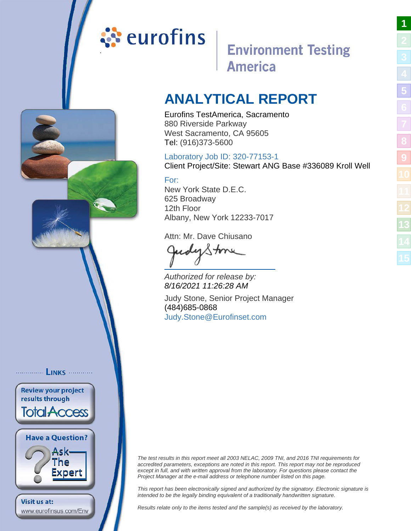# <span id="page-0-0"></span>ं**:** eurofins

# **Environment Testing America**

# **ANALYTICAL REPORT**

Eurofins TestAmerica, Sacramento 880 Riverside Parkway West Sacramento, CA 95605 Tel: (916)373-5600

# Laboratory Job ID: 320-77153-1

Client Project/Site: Stewart ANG Base #336089 Kroll Well

# For:

New York State D.E.C. 625 Broadway 12th Floor Albany, New York 12233-7017

Attn: Mr. Dave Chiusano

JudyStone

Authorized for release by: 8/16/2021 11:26:28 AM

Judy Stone, Senior Project Manager (484)685-0868 [Judy.Stone@Eurofinset.co](mailto:Judy.Stone@Eurofinset.com)m

............... LINKS ............ **Review your project Total Access Have a Question?** 

results through

Visit us at:

Ask-The Expert

www.eurofinsus.com/Env

The test results in this report meet all 2003 NELAC, 2009 TNI, and 2016 TNI requirements for accredited parameters, exceptions are noted in this report. This report may not be reproduced except in full, and with written approval from the laboratory. For questions please contact the Project Manager at the e-mail address or telephone number listed on this page.

This report has been electronically signed and authorized by the signatory. Electronic signature is intended to be the legally binding equivalent of a traditionally handwritten signature.

Results relate only to the items tested and the sample(s) as received by the laboratory.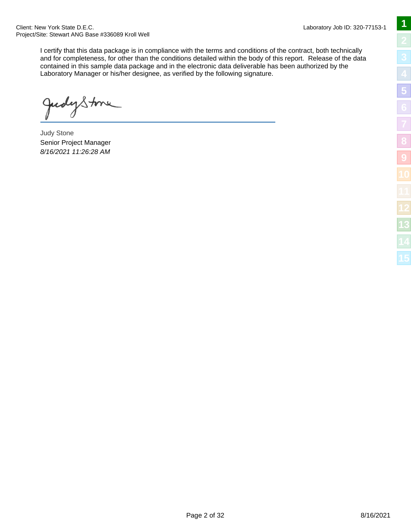Client: New York State D.E.C. Project/Site: Stewart ANG Base #336089 Kroll Well

> I certify that this data package is in compliance with the terms and conditions of the contract, both technically and for completeness, for other than the conditions detailed within the body of this report. Release of the data contained in this sample data package and in the electronic data deliverable has been authorized by the Laboratory Manager or his/her designee, as verified by the following signature.

udystme

Judy Stone Senior Project Manager 8/16/2021 11:26:28 AM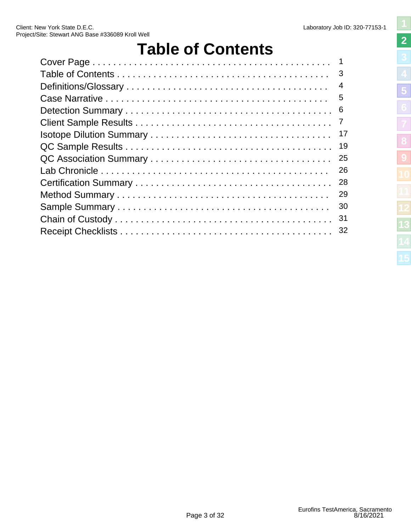# **Table of Contents**

<span id="page-2-0"></span>

| 5  |
|----|
| -6 |
|    |
| 17 |
| 19 |
| 25 |
| 26 |
| 28 |
| 29 |
| 30 |
| 31 |
| 32 |
|    |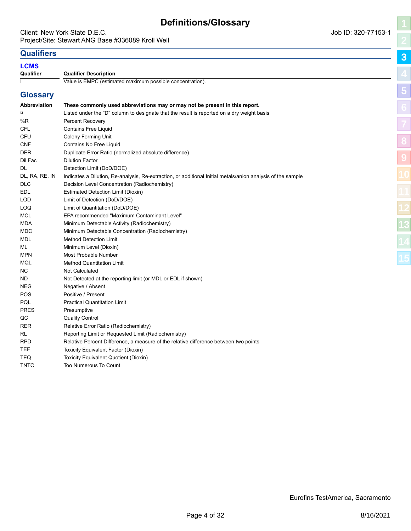# **Definitions/Glossary**

### <span id="page-3-0"></span>Client: New York State D.E.C. **Client:** New York State D.E.C. Project/Site: Stewart ANG Base #336089 Kroll Well

**[3](#page-3-0)**

**[5](#page-5-0)**

**[8](#page-18-0)**

**[9](#page-24-0)**

# **Qualifiers**

### **LCMS**

**Qualifie** 

| Qualifier | <b>Qualifier Description</b>                              |
|-----------|-----------------------------------------------------------|
|           | Value is EMPC (estimated maximum possible concentration). |
|           |                                                           |

| <b>Glossary</b> |                                                                                                             |
|-----------------|-------------------------------------------------------------------------------------------------------------|
| Abbreviation    | These commonly used abbreviations may or may not be present in this report.                                 |
| $\overline{a}$  | Listed under the "D" column to designate that the result is reported on a dry weight basis                  |
| %R              | Percent Recovery                                                                                            |
| CFL             | <b>Contains Free Liquid</b>                                                                                 |
| CFU             | <b>Colony Forming Unit</b>                                                                                  |
| <b>CNF</b>      | Contains No Free Liquid                                                                                     |
| <b>DER</b>      | Duplicate Error Ratio (normalized absolute difference)                                                      |
| Dil Fac         | <b>Dilution Factor</b>                                                                                      |
| DL.             | Detection Limit (DoD/DOE)                                                                                   |
| DL, RA, RE, IN  | Indicates a Dilution, Re-analysis, Re-extraction, or additional Initial metals/anion analysis of the sample |
| DLC             | Decision Level Concentration (Radiochemistry)                                                               |
| EDL             | <b>Estimated Detection Limit (Dioxin)</b>                                                                   |
| <b>LOD</b>      | Limit of Detection (DoD/DOE)                                                                                |
| LOQ             | Limit of Quantitation (DoD/DOE)                                                                             |
| <b>MCL</b>      | EPA recommended "Maximum Contaminant Level"                                                                 |
| MDA             | Minimum Detectable Activity (Radiochemistry)                                                                |
| MDC             | Minimum Detectable Concentration (Radiochemistry)                                                           |
| MDL             | <b>Method Detection Limit</b>                                                                               |
| ML.             | Minimum Level (Dioxin)                                                                                      |
| <b>MPN</b>      | Most Probable Number                                                                                        |
| MQL             | <b>Method Quantitation Limit</b>                                                                            |
| NC.             | <b>Not Calculated</b>                                                                                       |
| ND.             | Not Detected at the reporting limit (or MDL or EDL if shown)                                                |
| NEG             | Negative / Absent                                                                                           |
| POS             | Positive / Present                                                                                          |
| PQL             | <b>Practical Quantitation Limit</b>                                                                         |
| <b>PRES</b>     | Presumptive                                                                                                 |
| QC              | <b>Quality Control</b>                                                                                      |
| RER             | Relative Error Ratio (Radiochemistry)                                                                       |
| RL              | Reporting Limit or Requested Limit (Radiochemistry)                                                         |
| RPD             | Relative Percent Difference, a measure of the relative difference between two points                        |
| <b>TEF</b>      | Toxicity Equivalent Factor (Dioxin)                                                                         |
| <b>TEQ</b>      | Toxicity Equivalent Quotient (Dioxin)                                                                       |
| <b>TNTC</b>     | Too Numerous To Count                                                                                       |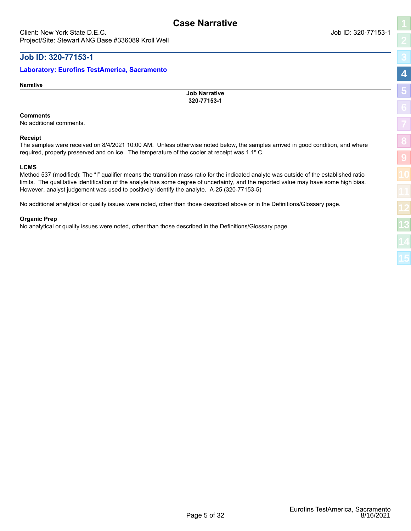# <span id="page-4-0"></span>**Job ID: 320-77153-1**

### **Laboratory: Eurofins TestAmerica, Sacramento**

**Narrative**

**Job Narrative 320-77153-1**

**Case Narrative**

### **Comments**

No additional comments.

### **Receipt**

The samples were received on 8/4/2021 10:00 AM. Unless otherwise noted below, the samples arrived in good condition, and where required, properly preserved and on ice. The temperature of the cooler at receipt was 1.1º C.

### **LCMS**

Method 537 (modified): The "I" qualifier means the transition mass ratio for the indicated analyte was outside of the established ratio limits. The qualitative identification of the analyte has some degree of uncertainty, and the reported value may have some high bias. However, analyst judgement was used to positively identify the analyte. A-25 (320-77153-5)

No additional analytical or quality issues were noted, other than those described above or in the Definitions/Glossary page.

### **Organic Prep**

No analytical or quality issues were noted, other than those described in the Definitions/Glossary page.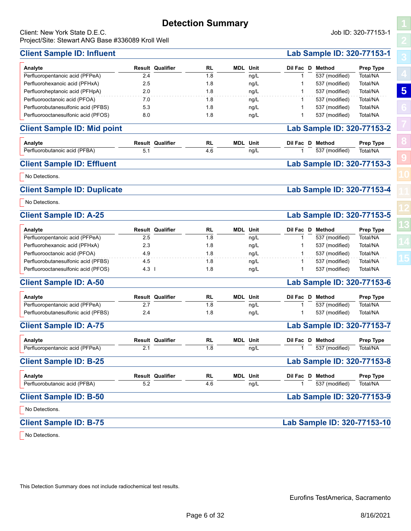# **Detection Summary**

**RL**

**Analyte Result Qualifier MDL Unit Dil Fac D Method Prep Type**

Perfluorohexanoic acid (PFHxA) 2.5 1.8 ng/L 1 537 (modified) Total/NA Perfluoroheptanoic acid (PFHpA) 2.0 1.8 ng/L 1 537 (modified) Total/NA Perfluorooctanoic acid (PFOA) 7.0 1.8 ng/L 1 537 (modified) Total/NA Perfluorobutanesulfonic acid (PFBS) 5.3 1.8 ng/L 1 537 (modified) Total/NA Perfluorooctanesulfonic acid (PFOS) 8.0 1.8 ng/L 1 537 (modified) Total/NA

**Client Sample ID: Mid point Lab Sample ID: 320-77153-2**

**Analyte Result Qualifier MDL Unit Dil Fac D Method Prep Type**

**Client Sample ID: Effluent Lab Sample ID: 320-77153-3**

**Client Sample ID: Duplicate Lab Sample ID: 320-77153-4**

**RL**

1.8 ng/L

 $\frac{1}{4.6}$   $\frac{1}{\text{mq/L}}$ 

 $\overline{2.4}$   $\overline{2.4}$   $\overline{1.8}$   $\overline{1.8}$   $\overline{1.8}$   $\overline{1.8}$   $\overline{1.8}$   $\overline{1.8}$   $\overline{1.8}$   $\overline{1.8}$   $\overline{1.8}$   $\overline{1.8}$   $\overline{1.8}$   $\overline{1.8}$   $\overline{1.8}$   $\overline{1.8}$   $\overline{1.8}$   $\overline{1.8}$   $\overline{1.8}$   $\overline{1.8}$ 

 $\frac{5.1}{5.1}$   $\frac{1}{\sqrt{1.1}}$   $\frac{1}{\sqrt{1.1}}$   $\frac{1}{\sqrt{1.1}}$   $\frac{1}{\sqrt{1.1}}$   $\frac{1}{\sqrt{1.1}}$   $\frac{1}{\sqrt{1.1}}$   $\frac{1}{\sqrt{1.1}}$   $\frac{1}{\sqrt{1.1}}$   $\frac{1}{\sqrt{1.1}}$   $\frac{1}{\sqrt{1.1}}$   $\frac{1}{\sqrt{1.1}}$   $\frac{1}{\sqrt{1.1}}$   $\frac{1}{\sqrt{1.1}}$   $\frac{1}{\sqrt{1.1$ 

### <span id="page-5-0"></span>Client: New York State D.E.C. Job ID: 320-77153-1 Project/Site: Stewart ANG Base #336089 Kroll Well

## **Client Sample ID: Influent Lab Sample ID: 320-77153-1**

Perfluoropentanoic acid (PFPeA)

Perfluorobutanoic acid (PFBA)

No Detections.

No Detections.

|   | ׇ֚֚֚֕ |
|---|-------|
|   | ĺ     |
|   | í     |
|   |       |
|   | l     |
|   |       |
|   | l     |
| ۱ |       |
|   |       |
|   |       |

| <b>Client Sample ID: A-25</b>       |                         |     |                 |                  | Lab Sample ID: 320-77153-5 |           |  |  |  |
|-------------------------------------|-------------------------|-----|-----------------|------------------|----------------------------|-----------|--|--|--|
| Analyte                             | <b>Result Qualifier</b> | RL  | <b>MDL</b> Unit | Dil Fac D Method |                            | Prep Type |  |  |  |
| Perfluoropentanoic acid (PFPeA)     | 2.5                     | 1.8 | ng/L            |                  | 537 (modified)             | Total/NA  |  |  |  |
| Perfluorohexanoic acid (PFHxA)      | 2.3                     | 1.8 | nq/L            |                  | 537 (modified)             | Total/NA  |  |  |  |
| Perfluorooctanoic acid (PFOA)       | 4.9                     | 1.8 | nq/L            |                  | 537 (modified)             | Total/NA  |  |  |  |
| Perfluorobutanesulfonic acid (PFBS) | 4.5                     | 1.8 | ng/L            |                  | 537 (modified)             | Total/NA  |  |  |  |
| Perfluorooctanesulfonic acid (PFOS) | $4.3 \;$ 1              | 1.8 | nq/L            |                  | 537 (modified)             | Total/NA  |  |  |  |

# **Client Sample ID: A-50 Lab Sample ID: 320-77153-6**

| Analyte                             | <b>Result Qualifier</b> | <b>RL</b> | <b>MDL</b> Unit |      |  | Dil Fac D Method | <b>Prep Type</b> |
|-------------------------------------|-------------------------|-----------|-----------------|------|--|------------------|------------------|
| Perfluoropentanoic acid (PFPeA)     | <u>.</u>                | .8        |                 | ng/L |  | 537 (modified)   | Total/NA         |
| Perfluorobutanesulfonic acid (PFBS) | 2.4                     | 1.8       |                 | ng/L |  | 537 (modified)   | Total/NA         |

### **Client Sample ID: A-75 Lab Sample ID: 320-77153-7**

| Analyte<br>Perfluoropentanoic acid (PFPeA) | 2.1 | <b>Result Qualifier</b> | <b>RL</b><br>1.8 | <b>MDL</b> Unit<br>ng/L |  | Dil Fac D Method<br>537 (modified) | <b>Prep Type</b><br>Total/NA |
|--------------------------------------------|-----|-------------------------|------------------|-------------------------|--|------------------------------------|------------------------------|
| <b>Client Sample ID: B-25</b>              |     |                         |                  |                         |  | Lab Sample ID: 320-77153-8         |                              |
| Analyte                                    |     | <b>Result Qualifier</b> | RL               | <b>MDL</b> Unit         |  | Dil Fac D Method                   | <b>Prep Type</b>             |
| Perfluorobutanoic acid (PFBA)              | 5.2 |                         | 4.6              | ng/L                    |  | 537 (modified)                     | Total/NA                     |

# Perfluorobutanoic acid (PFBA) **Client Sample ID: B-50 Lab Sample ID: 320-77153-9**

No Detections.

# **Client Sample ID: B-75 Lab Sample ID: 320-77153-10**

No Detections.

This Detection Summary does not include radiochemical test results.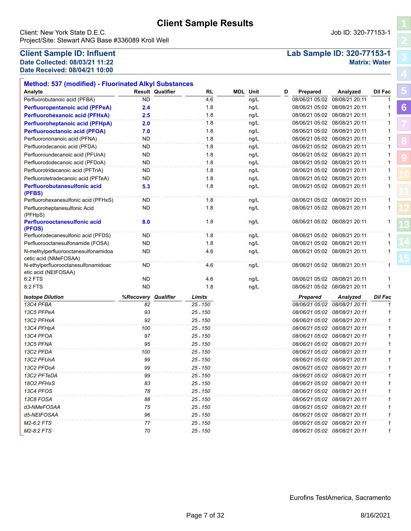<span id="page-6-0"></span>Client: New York State D.E.C. **Community** Client: New York State D.E.C. Project/Site: Stewart ANG Base #336089 Kroll Well

# **Date Collected: 08/03/21 11:22 Matrix: Water Date Received: 08/04/21 10:00**

|  | Job ID: 320-77153- |  |
|--|--------------------|--|
|  |                    |  |

# **Client Sample ID: Influent Lab Sample ID: 320-77153-1**

| Analyte                                                      |                  | <b>Result Qualifier</b> | <b>RL</b>  | <b>MDL</b> Unit |      | D | Prepared                      | Analyzed                      | Dil Fac        |  |
|--------------------------------------------------------------|------------------|-------------------------|------------|-----------------|------|---|-------------------------------|-------------------------------|----------------|--|
| Perfluorobutanoic acid (PFBA)                                | <b>ND</b>        |                         | 4.6        |                 | ng/L |   | 08/06/21 05:02                | 08/08/21 20:11                | 1              |  |
| <b>Perfluoropentanoic acid (PFPeA)</b>                       | 2.4              |                         | 1.8        |                 | ng/L |   |                               | 08/06/21 05:02 08/08/21 20:11 |                |  |
| <b>Perfluorohexanoic acid (PFHxA)</b>                        | 2.5              |                         | 1.8        |                 | ng/L |   |                               | 08/06/21 05:02 08/08/21 20:11 | 1              |  |
| <b>Perfluoroheptanoic acid (PFHpA)</b>                       | 2.0              |                         | 1.8        |                 | ng/L |   |                               | 08/06/21 05:02 08/08/21 20:11 | 1              |  |
| <b>Perfluorooctanoic acid (PFOA)</b>                         | 7.0              |                         | 1.8        |                 | ng/L |   |                               | 08/06/21 05:02 08/08/21 20:11 |                |  |
| Perfluorononanoic acid (PFNA)                                | ND               |                         | 1.8        |                 | ng/L |   |                               | 08/06/21 05:02 08/08/21 20:11 |                |  |
| Perfluorodecanoic acid (PFDA)                                | <b>ND</b>        |                         | 1.8        |                 | ng/L |   |                               | 08/06/21 05:02 08/08/21 20:11 |                |  |
| Perfluoroundecanoic acid (PFUnA)                             | ND               |                         | 1.8        |                 | ng/L |   |                               | 08/06/21 05:02 08/08/21 20:11 |                |  |
| Perfluorododecanoic acid (PFDoA)                             | <b>ND</b>        |                         | 1.8        |                 | ng/L |   |                               | 08/06/21 05:02 08/08/21 20:11 |                |  |
| Perfluorotridecanoic acid (PFTriA)                           | ND               |                         | 1.8        |                 | ng/L |   |                               | 08/06/21 05:02 08/08/21 20:11 |                |  |
| Perfluorotetradecanoic acid (PFTeA)                          | ND               |                         | 1.8        |                 | ng/L |   |                               | 08/06/21 05:02 08/08/21 20:11 |                |  |
| Perfluorobutanesulfonic acid<br>(PFBS)                       | 5.3              |                         | 1.8        |                 | ng/L |   |                               | 08/06/21 05:02 08/08/21 20:11 | 1              |  |
| Perfluorohexanesulfonic acid (PFHxS)                         | <b>ND</b>        |                         | 1.8        |                 | ng/L |   |                               | 08/06/21 05:02 08/08/21 20:11 | 1              |  |
| Perfluoroheptanesulfonic Acid<br>(PFHpS)                     | ND               |                         | 1.8        |                 | ng/L |   |                               | 08/06/21 05:02 08/08/21 20:11 |                |  |
| <b>Perfluorooctanesulfonic acid</b><br>(PFOS)                | 8.0              |                         | 1.8        |                 | ng/L |   |                               | 08/06/21 05:02 08/08/21 20:11 |                |  |
| Perfluorodecanesulfonic acid (PFDS)                          | ND               |                         | 1.8        |                 | ng/L |   |                               | 08/06/21 05:02 08/08/21 20:11 |                |  |
| Perfluorooctanesulfonamide (FOSA)                            | <b>ND</b>        |                         | 1.8        |                 | ng/L |   | 08/06/21 05:02 08/08/21 20:11 |                               |                |  |
| N-methylperfluorooctanesulfonamidoa<br>cetic acid (NMeFOSAA) | <b>ND</b>        |                         | 4.6        |                 | ng/L |   |                               | 08/06/21 05:02 08/08/21 20:11 |                |  |
| N-ethylperfluorooctanesulfonamidoac<br>etic acid (NEtFOSAA)  | ND               |                         | 4.6        |                 | ng/L |   |                               | 08/06/21 05:02 08/08/21 20:11 |                |  |
| 6:2 FTS                                                      | <b>ND</b>        |                         | 4.6        |                 | ng/L |   |                               | 08/06/21 05:02 08/08/21 20:11 |                |  |
| 8:2 FTS                                                      | <b>ND</b>        |                         | 1.8        |                 | ng/L |   |                               | 08/06/21 05:02 08/08/21 20:11 | 1              |  |
| <b>Isotope Dilution</b>                                      | <b>%Recovery</b> | Qualifier               | Limits     |                 |      |   | <b>Prepared</b>               | Analyzed                      | <b>Dil Fac</b> |  |
| 13C4 PFBA                                                    | 82               |                         | $25 - 150$ |                 |      |   |                               | 08/06/21 05:02 08/08/21 20:11 | $\mathbf{1}$   |  |
| 13C5 PFPeA                                                   | 93               |                         | $25 - 150$ |                 |      |   |                               | 08/06/21 05:02 08/08/21 20:11 | 1              |  |
| 13C2 PFHxA                                                   | 92               |                         | $25 - 150$ |                 |      |   |                               | 08/06/21 05:02 08/08/21 20:11 | 1              |  |
| 13C4 PFHpA                                                   | 100              |                         | $25 - 150$ |                 |      |   |                               | 08/06/21 05:02 08/08/21 20:11 | 1              |  |
| 13C4 PFOA                                                    | 97               |                         | $25 - 150$ |                 |      |   |                               | 08/06/21 05:02 08/08/21 20:11 | 1              |  |
| 13C5 PFNA                                                    | 95               |                         | $25 - 150$ |                 |      |   |                               | 08/06/21 05:02 08/08/21 20:11 |                |  |
| 13C2 PFDA                                                    | 100              |                         | $25 - 150$ |                 |      |   |                               | 08/06/21 05:02 08/08/21 20:11 |                |  |
| 13C2 PFUnA                                                   | 99               |                         | $25 - 150$ |                 |      |   |                               | 08/06/21 05:02 08/08/21 20:11 |                |  |
| 13C2 PFDoA                                                   | 99               |                         | $25 - 150$ |                 |      |   |                               | 08/06/21 05:02 08/08/21 20:11 | 1              |  |
| 13C2 PFTeDA                                                  | 99               |                         | 25 - 150   |                 |      |   |                               | 08/06/21 05:02 08/08/21 20:11 | 1              |  |
| 1802 PFHxS                                                   | 83               |                         | 25 - 150   |                 |      |   |                               | 08/06/21 05:02 08/08/21 20:11 |                |  |
| 13C4 PFOS                                                    | 78               |                         | 25 - 150   |                 |      |   |                               | 08/06/21 05:02 08/08/21 20:11 |                |  |
| 13C8 FOSA                                                    | 88               |                         | 25 - 150   |                 |      |   |                               | 08/06/21 05:02 08/08/21 20:11 |                |  |
| d3-NMeFOSAA                                                  | 75               |                         | 25 - 150   |                 |      |   |                               | 08/06/21 05:02 08/08/21 20:11 |                |  |
| d5-NEtFOSAA                                                  | 96               |                         | 25 - 150   |                 |      |   |                               | 08/06/21 05:02 08/08/21 20:11 |                |  |
| M2-6:2 FTS                                                   | 77               |                         | 25 - 150   |                 |      |   |                               | 08/06/21 05:02 08/08/21 20:11 |                |  |
|                                                              |                  |                         |            |                 |      |   |                               |                               |                |  |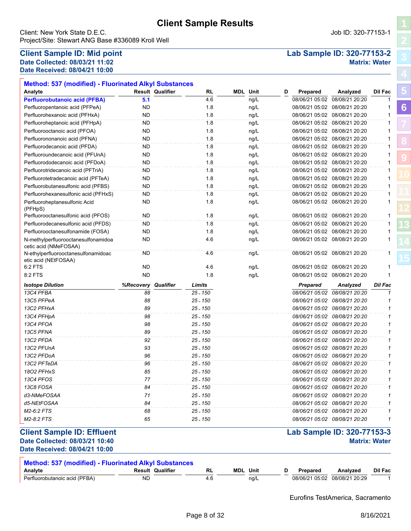**RL MDL**

Client: New York State D.E.C. Job ID: 320-77153-1 Project/Site: Stewart ANG Base #336089 Kroll Well

**Method: 537 (modified) - Fluorinated Alkyl Substances**

### **Client Sample ID: Mid point Lab Sample ID: 320-77153-2 Date Collected: 08/03/21 11:02 Matrix: Water Date Received: 08/04/21 10:00**

| <b>Perfluorobutanoic acid (PFBA)</b>                        | 5.1       | 4.6                 | ng/L |                               | 08/06/21 05:02 08/08/21 20:20  | 1            |
|-------------------------------------------------------------|-----------|---------------------|------|-------------------------------|--------------------------------|--------------|
| Perfluoropentanoic acid (PFPeA)                             | ND        | 1.8                 | ng/L |                               | 08/06/21 05:02 08/08/21 20:20  |              |
| Perfluorohexanoic acid (PFHxA)                              | ND        | 1.8                 | ng/L |                               | 08/06/21 05:02 08/08/21 20:20  | 1            |
| Perfluoroheptanoic acid (PFHpA)                             | <b>ND</b> | 1.8                 | ng/L |                               | 08/06/21 05:02 08/08/21 20:20  | 1            |
| Perfluorooctanoic acid (PFOA)                               | ND        | 1.8                 | ng/L |                               | 08/06/21 05:02 08/08/21 20:20  |              |
| Perfluorononanoic acid (PFNA)                               | ND        | 1.8                 | ng/L |                               | 08/06/21 05:02 08/08/21 20:20  | 1            |
| Perfluorodecanoic acid (PFDA)                               | ND        | 1.8                 | ng/L |                               | 08/06/21 05:02 08/08/21 20:20  | 1            |
| Perfluoroundecanoic acid (PFUnA)                            | ND        | 1.8                 | ng/L |                               | 08/06/21 05:02 08/08/21 20:20  | 1            |
| Perfluorododecanoic acid (PFDoA)                            | ND        | 1.8                 | ng/L |                               | 08/06/21 05:02 08/08/21 20:20  | 1            |
| Perfluorotridecanoic acid (PFTriA)                          | <b>ND</b> | 1.8                 | ng/L |                               | 08/06/21 05:02 08/08/21 20:20  | 1            |
| Perfluorotetradecanoic acid (PFTeA)                         | <b>ND</b> | 1.8                 | ng/L |                               | 08/06/21 05:02 08/08/21 20:20  | 1            |
| Perfluorobutanesulfonic acid (PFBS)                         | <b>ND</b> | 1.8                 | ng/L | 08/06/21 05:02 08/08/21 20:20 |                                | $\mathbf{1}$ |
| Perfluorohexanesulfonic acid (PFHxS)                        | ND        | 1.8                 | ng/L | 08/06/21 05:02 08/08/21 20:20 |                                | 1            |
| Perfluoroheptanesulfonic Acid                               | <b>ND</b> | 1.8                 | ng/L |                               | 08/06/21 05:02 08/08/21 20:20  | 1            |
| (PFHpS)<br>Perfluorooctanesulfonic acid (PFOS)              | ND        | 1.8                 | ng/L |                               | 08/06/21 05:02 08/08/21 20:20  | $\mathbf{1}$ |
| Perfluorodecanesulfonic acid (PFDS)                         | <b>ND</b> | 1.8                 | ng/L | 08/06/21 05:02 08/08/21 20:20 |                                | 1            |
| Perfluorooctanesulfonamide (FOSA)                           | ND        | 1.8                 | ng/L |                               | 08/06/21 05:02 08/08/21 20:20  | 1            |
| N-methylperfluorooctanesulfonamidoa                         | <b>ND</b> | 4.6                 | ng/L |                               | 08/06/21 05:02 08/08/21 20:20  | 1            |
| cetic acid (NMeFOSAA)                                       |           |                     |      |                               |                                |              |
| N-ethylperfluorooctanesulfonamidoac<br>etic acid (NEtFOSAA) | ND        | 4.6                 | ng/L |                               | 08/06/21 05:02 08/08/21 20:20  | 1            |
| $6:2$ FTS                                                   | ND        | 4.6                 | ng/L |                               | 08/06/21 05:02 08/08/21 20:20  | 1            |
| 8:2 FTS                                                     | <b>ND</b> | 1.8                 | ng/L | 08/06/21 05:02 08/08/21 20:20 |                                | 1            |
| <b>Isotope Dilution</b>                                     | %Recovery | Qualifier<br>Limits |      | <b>Prepared</b>               | Analyzed                       | Dil Fac      |
| 13C4 PFBA                                                   | 88        | 25 - 150            |      |                               | 08/06/21 05:02 08/08/21 20:20  | $\mathbf{1}$ |
| 13C5 PFPeA                                                  | 88        | $25 - 150$          |      |                               | 08/06/21 05:02 08/08/21 20:20  | 1            |
| 13C2 PFHxA                                                  | 89        | $25 - 150$          |      |                               | 08/06/21 05:02 08/08/21 20:20  | 1            |
| 13C4 PFHpA                                                  | 98        | 25 - 150            |      |                               | 08/06/21 05:02 08/08/21 20:20  | 1            |
| 13C4 PFOA                                                   | 98        | $25 - 150$          |      |                               | 08/06/21 05:02 08/08/21 20:20  | 1            |
| 13C5 PFNA                                                   | 89        | $25 - 150$          |      |                               | 08/06/21 05:02 08/08/21 20:20  | 1            |
| 13C2 PFDA                                                   | 92        | $25 - 150$          |      |                               | 08/06/21 05:02 08/08/21 20:20  | 1            |
| 13C2 PFUnA                                                  | 93        | $25 - 150$          |      |                               | 08/06/21 05:02 08/08/21 20:20  | 1            |
| 13C2 PFDoA                                                  | 96        | $25 - 150$          |      |                               | 08/06/21 05:02 08/08/21 20:20  | 1            |
| 13C2 PFTeDA                                                 | 96        | $25 - 150$          |      |                               | 08/06/21 05:02 08/08/21 20:20  | 1            |
| 1802 PFHxS                                                  | 85        | 25 - 150            |      |                               | 08/06/21 05:02 08/08/21 20:20  | 1            |
| 13C4 PFOS                                                   | 77        | $25 - 150$          |      |                               | 08/06/21 05:02 08/08/21 20:20  | 1            |
| 13C8 FOSA                                                   | 84        | $25 - 150$          |      |                               | 08/06/21 05:02 08/08/21 20:20  | 1            |
| d3-NMeFOSAA                                                 | 71        | $25 - 150$          |      |                               | 08/06/21 05:02 08/08/21 20:20  | 1            |
|                                                             |           |                     |      |                               |                                | 1            |
| d5-NEtFOSAA                                                 | 84        | 25 - 150            |      |                               | 08/06/21 05:02 08/08/21 20:20  |              |
| M2-6:2 FTS                                                  | 68        | 25 - 150            |      |                               | 08/06/21 05:02 08/08/21 20:20  |              |
| M2-8:2 FTS                                                  | 65        | 25 - 150            |      |                               | 08/06/21 05:02  08/08/21 20:20 | 1            |
| <b>Client Sample ID: Effluent</b>                           |           |                     |      | Lab Sample ID: 320-77153-3    |                                |              |

| <b>Method: 537 (modified) - Fluorinated Alkyl Substances</b> |           |                         |     |                 |      |   |          |                               |                |  |
|--------------------------------------------------------------|-----------|-------------------------|-----|-----------------|------|---|----------|-------------------------------|----------------|--|
| Analyte                                                      |           | <b>Result Qualifier</b> |     | <b>MDL</b> Unit |      | D | Prepared | Analyzed                      | <b>Dil Fac</b> |  |
| Perfluorobutanoic acid (PFBA)                                | <b>ND</b> |                         | 4.6 |                 | nq/L |   |          | 08/06/21 05:02 08/08/21 20:29 |                |  |

Eurofins TestAmerica, Sacramento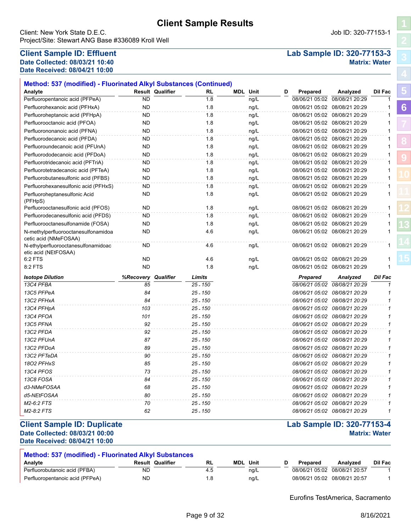| Iliant Cample ID: Dunliagta |    |            |                               | Loh Comple ID: 220 77452 4 |  |
|-----------------------------|----|------------|-------------------------------|----------------------------|--|
| M2-8:2 FTS                  | 62 | 25 - 150   | 08/06/21 05:02 08/08/21 20:29 |                            |  |
| M2-6:2 FTS                  |    | 25 - 150   | 08/06/21 05:02 08/08/21 20:29 |                            |  |
| d5-NEtFOSAA                 | 80 | 25 - 150   | 08/06/21 05:02 08/08/21 20:29 |                            |  |
| d3-NMeFOSAA                 | 68 | 25 - 150   | 08/06/21 05:02 08/08/21 20:29 |                            |  |
| 13C8 FOSA                   | 84 | $25 - 150$ | 08/06/21 05:02 08/08/21 20:29 |                            |  |

### **Client Sample ID: Duplicate Lab Sample ID: 320-77153-4 Date Collected: 08/03/21 00:00 Matrix: Water**

# **Analyte Result Qualifier Unit D Prepared Analyzed Dil Fac**

| Perfluorobutanoic acid (PFBA)   | ND | 4.⊍ | ng/L | 08/06/21 05:02 08/08/21 20:57 |  |
|---------------------------------|----|-----|------|-------------------------------|--|
| Perfluoropentanoic acid (PFPeA) | ND |     | ng/L | 08/06/21 05:02 08/08/21 20:57 |  |
|                                 |    |     |      |                               |  |

**RL MDL**

Eurofins TestAmerica, Sacramento

### Page 9 of 32 8/16/2021

| <b>Method: 537 (modified) - Fluorinated Alkyl Substances (Continued)</b> |           |                         |            |                 |      |   |                |                               |              |
|--------------------------------------------------------------------------|-----------|-------------------------|------------|-----------------|------|---|----------------|-------------------------------|--------------|
| Analyte                                                                  |           | <b>Result Qualifier</b> | RL         | <b>MDL</b> Unit |      | D | Prepared       | Analyzed                      | Dil Fac      |
| Perfluoropentanoic acid (PFPeA)                                          | <b>ND</b> |                         | 1.8        |                 | ng/L |   | 08/06/21 05:02 | 08/08/21 20:29                |              |
| Perfluorohexanoic acid (PFHxA)                                           | <b>ND</b> |                         | 1.8        |                 | ng/L |   |                | 08/06/21 05:02 08/08/21 20:29 | 1            |
| Perfluoroheptanoic acid (PFHpA)                                          | <b>ND</b> |                         | 1.8        |                 | ng/L |   |                | 08/06/21 05:02 08/08/21 20:29 | 1            |
| Perfluorooctanoic acid (PFOA)                                            | <b>ND</b> |                         | 1.8        |                 | ng/L |   |                | 08/06/21 05:02 08/08/21 20:29 |              |
| Perfluorononanoic acid (PFNA)                                            | <b>ND</b> |                         | 1.8        |                 | ng/L |   |                | 08/06/21 05:02 08/08/21 20:29 | 1            |
| Perfluorodecanoic acid (PFDA)                                            | <b>ND</b> |                         | 1.8        |                 | ng/L |   |                | 08/06/21 05:02 08/08/21 20:29 | 1            |
| Perfluoroundecanoic acid (PFUnA)                                         | <b>ND</b> |                         | 1.8        |                 | ng/L |   |                | 08/06/21 05:02 08/08/21 20:29 |              |
| Perfluorododecanoic acid (PFDoA)                                         | <b>ND</b> |                         | 1.8        |                 | ng/L |   |                | 08/06/21 05:02 08/08/21 20:29 | 1            |
| Perfluorotridecanoic acid (PFTriA)                                       | <b>ND</b> |                         | 1.8        |                 | ng/L |   |                | 08/06/21 05:02 08/08/21 20:29 | 1            |
| Perfluorotetradecanoic acid (PFTeA)                                      | <b>ND</b> |                         | 1.8        |                 | ng/L |   |                | 08/06/21 05:02 08/08/21 20:29 | 1            |
| Perfluorobutanesulfonic acid (PFBS)                                      | <b>ND</b> |                         | 1.8        |                 | ng/L |   |                | 08/06/21 05:02 08/08/21 20:29 | 1            |
| Perfluorohexanesulfonic acid (PFHxS)                                     | <b>ND</b> |                         | 1.8        |                 | ng/L |   |                | 08/06/21 05:02 08/08/21 20:29 | 1            |
| Perfluoroheptanesulfonic Acid<br>(PFHpS)                                 | <b>ND</b> |                         | 1.8        |                 | ng/L |   |                | 08/06/21 05:02 08/08/21 20:29 |              |
| Perfluorooctanesulfonic acid (PFOS)                                      | <b>ND</b> |                         | 1.8        |                 | ng/L |   |                | 08/06/21 05:02 08/08/21 20:29 |              |
| Perfluorodecanesulfonic acid (PFDS)                                      | <b>ND</b> |                         | 1.8        |                 | ng/L |   |                | 08/06/21 05:02 08/08/21 20:29 | 1            |
| Perfluorooctanesulfonamide (FOSA)                                        | <b>ND</b> |                         | 1.8        |                 | ng/L |   |                | 08/06/21 05:02 08/08/21 20:29 |              |
| N-methylperfluorooctanesulfonamidoa<br>cetic acid (NMeFOSAA)             | <b>ND</b> |                         | 4.6        |                 | ng/L |   |                | 08/06/21 05:02 08/08/21 20:29 |              |
| N-ethylperfluorooctanesulfonamidoac<br>etic acid (NEtFOSAA)              | ND        |                         | 4.6        |                 | ng/L |   |                | 08/06/21 05:02 08/08/21 20:29 | 1            |
| 6:2 FTS                                                                  | ND        |                         | 4.6        |                 | ng/L |   |                | 08/06/21 05:02 08/08/21 20:29 |              |
| 8:2 FTS                                                                  | <b>ND</b> |                         | 1.8        |                 | ng/L |   |                | 08/06/21 05:02 08/08/21 20:29 | 1            |
| <b>Isotope Dilution</b>                                                  | %Recovery | Qualifier               | Limits     |                 |      |   | Prepared       | Analyzed                      | Dil Fac      |
| 13C4 PFBA                                                                | 85        |                         | 25 - 150   |                 |      |   |                | 08/06/21 05:02 08/08/21 20:29 |              |
| 13C5 PFPeA                                                               | 84        |                         | $25 - 150$ |                 |      |   |                | 08/06/21 05:02 08/08/21 20:29 | 1            |
| 13C2 PFHxA                                                               | 84        |                         | $25 - 150$ |                 |      |   |                | 08/06/21 05:02 08/08/21 20:29 | $\mathbf{1}$ |
| 13C4 PFHpA                                                               | 103       |                         | $25 - 150$ |                 |      |   |                | 08/06/21 05:02 08/08/21 20:29 | 1            |
| 13C4 PFOA                                                                | 101       |                         | $25 - 150$ |                 |      |   |                | 08/06/21 05:02 08/08/21 20:29 |              |
| 13C5 PFNA                                                                | 92        |                         | 25 - 150   |                 |      |   |                | 08/06/21 05:02 08/08/21 20:29 | 1            |
| 13C2 PFDA                                                                | 92        |                         | 25 - 150   |                 |      |   |                | 08/06/21 05:02 08/08/21 20:29 | 1            |
| 13C2 PFUnA                                                               | 87        |                         | $25 - 150$ |                 |      |   |                | 08/06/21 05:02 08/08/21 20:29 |              |
| 13C2 PFDoA                                                               | 89        |                         | $25 - 150$ |                 |      |   |                | 08/06/21 05:02 08/08/21 20:29 |              |
| 13C2 PFTeDA                                                              | 90        |                         | 25 - 150   |                 |      |   |                | 08/06/21 05:02 08/08/21 20:29 |              |
| 1802 PFHxS                                                               | 85        |                         | $25 - 150$ |                 |      |   |                | 08/06/21 05:02 08/08/21 20:29 | 1            |
| 13C4 PFOS                                                                | 73        |                         | $25 - 150$ |                 |      |   |                | 08/06/21 05:02 08/08/21 20:29 | 1            |

# **Client Sample Results**

Project/Site: Stewart ANG Base #336089 Kroll Well

# **Client Sample ID: Effluent Lab Sample ID: 320-77153-3 Date Collected: 08/03/21 10:40 Matrix: Water Date Received: 08/04/21 10:00**

**Date Received: 08/04/21 10:00**

**Method: 537 (modified) - Fluorinated Alkyl Substances**

Client: New York State D.E.C. Job ID: 320-77153-1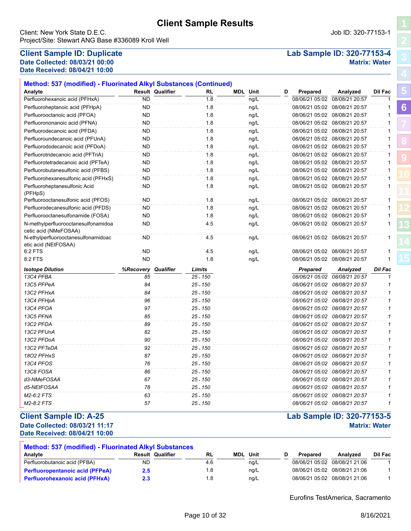|  | <b>Client Sample Results</b> |
|--|------------------------------|

### Client: New York State D.E.C. Job ID: 320-77153-1 Project/Site: Stewart ANG Base #336089 Kroll Well

# **Client Sample ID: Duplicate Lab Sample ID: 320-77153-4 Date Collected: 08/03/21 00:00 Matrix: Water Date Received: 08/04/21 10:00**

| Method: 537 (modified) - Fluorinated Alkyl Substances (Continued) |                         |                     |     |                 |      |   |                 |                               |                |
|-------------------------------------------------------------------|-------------------------|---------------------|-----|-----------------|------|---|-----------------|-------------------------------|----------------|
| Analyte                                                           | <b>Result Qualifier</b> |                     | RL  | <b>MDL Unit</b> |      | D | Prepared        | Analyzed                      | Dil Fac        |
| Perfluorohexanoic acid (PFHxA)                                    | <b>ND</b>               |                     | 1.8 |                 | ng/L |   |                 | 08/06/21 05:02 08/08/21 20:57 | $\mathbf{1}$   |
| Perfluoroheptanoic acid (PFHpA)                                   | <b>ND</b>               |                     | 1.8 |                 | ng/L |   |                 | 08/06/21 05:02 08/08/21 20:57 | $\mathbf{1}$   |
| Perfluorooctanoic acid (PFOA)                                     | <b>ND</b>               |                     | 1.8 |                 | ng/L |   |                 | 08/06/21 05:02 08/08/21 20:57 | $\mathbf{1}$   |
| Perfluorononanoic acid (PFNA)                                     | <b>ND</b>               |                     | 1.8 |                 | ng/L |   |                 | 08/06/21 05:02 08/08/21 20:57 | $\mathbf{1}$   |
| Perfluorodecanoic acid (PFDA)                                     | ND                      |                     | 1.8 |                 | ng/L |   |                 | 08/06/21 05:02 08/08/21 20:57 | $\mathbf{1}$   |
| Perfluoroundecanoic acid (PFUnA)                                  | ND                      |                     | 1.8 |                 | ng/L |   |                 | 08/06/21 05:02 08/08/21 20:57 | $\mathbf{1}$   |
| Perfluorododecanoic acid (PFDoA)                                  | <b>ND</b>               |                     | 1.8 |                 | ng/L |   |                 | 08/06/21 05:02 08/08/21 20:57 | $\mathbf{1}$   |
| Perfluorotridecanoic acid (PFTriA)                                | ND                      |                     | 1.8 |                 | ng/L |   |                 | 08/06/21 05:02 08/08/21 20:57 | -1             |
| Perfluorotetradecanoic acid (PFTeA)                               | <b>ND</b>               |                     | 1.8 |                 | ng/L |   |                 | 08/06/21 05:02 08/08/21 20:57 | $\mathbf{1}$   |
| Perfluorobutanesulfonic acid (PFBS)                               | <b>ND</b>               |                     | 1.8 |                 | ng/L |   |                 | 08/06/21 05:02 08/08/21 20:57 | $\mathbf{1}$   |
| Perfluorohexanesulfonic acid (PFHxS)                              | ND                      |                     | 1.8 |                 | ng/L |   |                 | 08/06/21 05:02 08/08/21 20:57 | $\mathbf{1}$   |
| Perfluoroheptanesulfonic Acid<br>(PFHpS)                          | <b>ND</b>               |                     | 1.8 |                 | ng/L |   |                 | 08/06/21 05:02 08/08/21 20:57 | $\mathbf{1}$   |
| Perfluorooctanesulfonic acid (PFOS)                               | <b>ND</b>               |                     | 1.8 |                 | ng/L |   |                 | 08/06/21 05:02 08/08/21 20:57 | $\mathbf{1}$   |
| Perfluorodecanesulfonic acid (PFDS)                               | <b>ND</b>               |                     | 1.8 |                 | ng/L |   |                 | 08/06/21 05:02 08/08/21 20:57 | -1             |
| Perfluorooctanesulfonamide (FOSA)                                 | <b>ND</b>               |                     | 1.8 |                 | ng/L |   |                 | 08/06/21 05:02 08/08/21 20:57 | $\mathbf{1}$   |
| N-methylperfluorooctanesulfonamidoa<br>cetic acid (NMeFOSAA)      | <b>ND</b>               |                     | 4.5 |                 | ng/L |   |                 | 08/06/21 05:02 08/08/21 20:57 | $\mathbf{1}$   |
| N-ethylperfluorooctanesulfonamidoac<br>etic acid (NEtFOSAA)       | <b>ND</b>               |                     | 4.5 |                 | ng/L |   |                 | 08/06/21 05:02 08/08/21 20:57 | $\mathbf{1}$   |
| 6:2 FTS                                                           | <b>ND</b>               |                     | 4.5 |                 | ng/L |   |                 | 08/06/21 05:02 08/08/21 20:57 | $\mathbf{1}$   |
| 8:2 FTS                                                           | <b>ND</b>               |                     | 1.8 |                 | ng/L |   |                 | 08/06/21 05:02 08/08/21 20:57 | $\mathbf{1}$   |
| <b>Isotope Dilution</b>                                           | %Recovery               | Qualifier<br>Limits |     |                 |      |   | <b>Prepared</b> | Analyzed                      | <b>Dil Fac</b> |
| 13C4 PFBA                                                         | 85                      | $25 - 150$          |     |                 |      |   |                 | 08/06/21 05:02 08/08/21 20:57 | $\mathbf{1}$   |
| 13C5 PFPeA                                                        | 84                      | $25 - 150$          |     |                 |      |   |                 | 08/06/21 05:02 08/08/21 20:57 | $\mathcal I$   |
| 13C2 PFHxA                                                        | 84                      | $25 - 150$          |     |                 |      |   |                 | 08/06/21 05:02 08/08/21 20:57 | $\mathcal I$   |
| 13C4 PFHpA                                                        | 96                      | $25 - 150$          |     |                 |      |   |                 | 08/06/21 05:02 08/08/21 20:57 | $\mathbf{1}$   |
| 13C4 PFOA                                                         | 97                      | $25 - 150$          |     |                 |      |   |                 | 08/06/21 05:02 08/08/21 20:57 | $\mathcal I$   |
| 13C5 PFNA                                                         | 85                      | $25 - 150$          |     |                 |      |   |                 | 08/06/21 05:02 08/08/21 20:57 | $\mathcal I$   |
| 13C2 PFDA                                                         | 89                      | $25 - 150$          |     |                 |      |   |                 | 08/06/21 05:02 08/08/21 20:57 | 1              |
| 13C2 PFUnA                                                        | 82                      | $25 - 150$          |     |                 |      |   |                 | 08/06/21 05:02 08/08/21 20:57 | 1              |
| 13C2 PFDoA                                                        | 90                      | $25 - 150$          |     |                 |      |   |                 | 08/06/21 05:02 08/08/21 20:57 | $\mathbf{1}$   |
| 13C2 PFTeDA                                                       | 92                      | $25 - 150$          |     |                 |      |   |                 | 08/06/21 05:02 08/08/21 20:57 | $\mathcal I$   |
| 1802 PFHxS                                                        | 87                      | $25 - 150$          |     |                 |      |   |                 | 08/06/21 05:02 08/08/21 20:57 | $\mathcal I$   |
| 13C4 PFOS                                                         | 76                      | 25 - 150            |     |                 |      |   |                 | 08/06/21 05:02 08/08/21 20:57 | $\mathbf{1}$   |
| 13C8 FOSA                                                         | 86                      | $25 - 150$          |     |                 |      |   |                 | 08/06/21 05:02 08/08/21 20:57 | 1              |
| d3-NMeFOSAA                                                       | 67                      | $25 - 150$          |     |                 |      |   |                 | 08/06/21 05:02 08/08/21 20:57 | $\mathbf{1}$   |
| d5-NEtFOSAA                                                       | 78                      | $25 - 150$          |     |                 |      |   |                 | 08/06/21 05:02 08/08/21 20:57 | $\mathbf{1}$   |
| M2-6:2 FTS                                                        | 63                      | $25 - 150$          |     |                 |      |   |                 | 08/06/21 05:02 08/08/21 20:57 | 1              |
| M2-8:2 FTS                                                        | 57                      | $25 - 150$          |     |                 |      |   |                 | 08/06/21 05:02 08/08/21 20:57 | $\mathbf{1}$   |
|                                                                   |                         |                     |     |                 |      |   |                 |                               |                |

# **Client Sample ID: A-25 Lab Sample ID: 320-77153-5**

**Date Collected: 08/03/21 11:17 Matrix: Water Date Received: 08/04/21 10:00**

| <b>Method: 537 (modified) - Fluorinated Alkyl Substances</b> |                         |           |                 |          |                               |         |
|--------------------------------------------------------------|-------------------------|-----------|-----------------|----------|-------------------------------|---------|
| Analvte                                                      | <b>Result Qualifier</b> | <b>RL</b> | <b>MDL</b> Unit | Prepared | Analyzed                      | Dil Fac |
| Perfluorobutanoic acid (PFBA)                                | ND                      | 4.6       | ng/L            |          | 08/06/21 05:02 08/08/21 21:06 |         |
| <b>Perfluoropentanoic acid (PFPeA)</b>                       | 2.5                     | 1.8       | ng/L            |          | 08/06/21 05:02 08/08/21 21:06 |         |
| <b>Perfluorohexanoic acid (PFHxA)</b>                        | 2.3                     | 8. ا      | nq/L            |          | 08/06/21 05:02 08/08/21 21:06 |         |

**[5](#page-5-0) [6](#page-6-0)**

> **[8](#page-18-0) [9](#page-24-0)**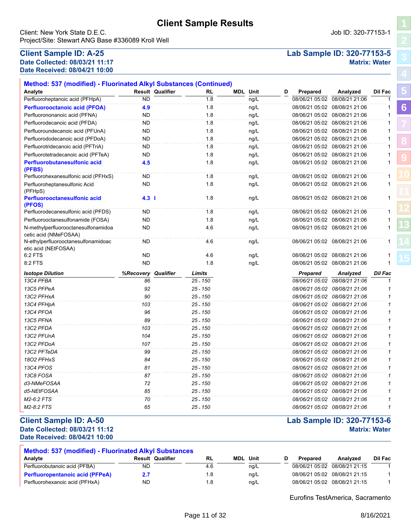Client: New York State D.E.C. Job ID: 320-77153-1 Project/Site: Stewart ANG Base #336089 Kroll Well

### **Client Sample ID: A-25 Lab Sample ID: 320-77153-5 Date Collected: 08/03/21 11:17 Matrix: Water Date Received: 08/04/21 10:00**

**[5](#page-5-0)**

**[6](#page-6-0)**

**[8](#page-18-0)**

**[9](#page-24-0)**

| Analyte                                                      |           | <b>Result Qualifier</b> | RL         | <b>MDL</b> Unit | D | Prepared        | Analyzed                      | Dil Fac        |
|--------------------------------------------------------------|-----------|-------------------------|------------|-----------------|---|-----------------|-------------------------------|----------------|
| Perfluoroheptanoic acid (PFHpA)                              | <b>ND</b> |                         | 1.8        | ng/L            |   |                 | 08/06/21 05:02 08/08/21 21:06 | 1              |
| <b>Perfluorooctanoic acid (PFOA)</b>                         | 4.9       |                         | 1.8        | ng/L            |   |                 | 08/06/21 05:02 08/08/21 21:06 | 1              |
| Perfluorononanoic acid (PFNA)                                | <b>ND</b> |                         | 1.8        | ng/L            |   |                 | 08/06/21 05:02 08/08/21 21:06 | 1              |
| Perfluorodecanoic acid (PFDA)                                | <b>ND</b> |                         | 1.8        | ng/L            |   |                 | 08/06/21 05:02 08/08/21 21:06 | 1              |
| Perfluoroundecanoic acid (PFUnA)                             | ND        |                         | 1.8        | ng/L            |   |                 | 08/06/21 05:02 08/08/21 21:06 | 1              |
| Perfluorododecanoic acid (PFDoA)                             | <b>ND</b> |                         | 1.8        | ng/L            |   |                 | 08/06/21 05:02 08/08/21 21:06 | $\mathbf{1}$   |
| Perfluorotridecanoic acid (PFTriA)                           | <b>ND</b> |                         | 1.8        | ng/L            |   |                 | 08/06/21 05:02 08/08/21 21:06 | $\mathbf{1}$   |
| Perfluorotetradecanoic acid (PFTeA)                          | <b>ND</b> |                         | 1.8        | ng/L            |   |                 | 08/06/21 05:02 08/08/21 21:06 | 1              |
| <b>Perfluorobutanesulfonic acid</b><br>(PFBS)                | 4.5       |                         | 1.8        | ng/L            |   |                 | 08/06/21 05:02 08/08/21 21:06 | 1              |
| Perfluorohexanesulfonic acid (PFHxS)                         | ND        |                         | 1.8        | ng/L            |   |                 | 08/06/21 05:02 08/08/21 21:06 | 1              |
| Perfluoroheptanesulfonic Acid<br>(PFHpS)                     | <b>ND</b> |                         | 1.8        | ng/L            |   |                 | 08/06/21 05:02 08/08/21 21:06 | $\mathbf{1}$   |
| <b>Perfluorooctanesulfonic acid</b><br>(PFOS)                | $4.3$     |                         | 1.8        | ng/L            |   |                 | 08/06/21 05:02 08/08/21 21:06 | 1              |
| Perfluorodecanesulfonic acid (PFDS)                          | <b>ND</b> |                         | 1.8        | ng/L            |   |                 | 08/06/21 05:02 08/08/21 21:06 | 1              |
| Perfluorooctanesulfonamide (FOSA)                            | <b>ND</b> |                         | 1.8        | ng/L            |   |                 | 08/06/21 05:02 08/08/21 21:06 | $\mathbf{1}$   |
| N-methylperfluorooctanesulfonamidoa<br>cetic acid (NMeFOSAA) | <b>ND</b> |                         | 4.6        | ng/L            |   |                 | 08/06/21 05:02 08/08/21 21:06 | 1              |
| N-ethylperfluorooctanesulfonamidoac<br>etic acid (NEtFOSAA)  | ND        |                         | 4.6        | ng/L            |   |                 | 08/06/21 05:02 08/08/21 21:06 | 1              |
| 6:2 FTS                                                      | <b>ND</b> |                         | 4.6        | ng/L            |   |                 | 08/06/21 05:02 08/08/21 21:06 | 1              |
| 8:2 FTS                                                      | <b>ND</b> |                         | 1.8        | ng/L            |   |                 | 08/06/21 05:02 08/08/21 21:06 | 1              |
| <b>Isotope Dilution</b>                                      | %Recovery | Qualifier               | Limits     |                 |   | <b>Prepared</b> | Analyzed                      | <b>Dil Fac</b> |
| 13C4 PFBA                                                    | 86        |                         | $25 - 150$ |                 |   |                 | 08/06/21 05:02 08/08/21 21:06 | 1              |
| 13C5 PFPeA                                                   | 92        |                         | $25 - 150$ |                 |   |                 | 08/06/21 05:02 08/08/21 21:06 | 1              |
| 13C2 PFHxA                                                   | 90        |                         | $25 - 150$ |                 |   |                 | 08/06/21 05:02 08/08/21 21:06 | $\mathbf{1}$   |
| 13C4 PFHpA                                                   | 103       |                         | $25 - 150$ |                 |   |                 | 08/06/21 05:02 08/08/21 21:06 | $\mathbf{1}$   |
| 13C4 PFOA                                                    | 96        |                         | $25 - 150$ |                 |   |                 | 08/06/21 05:02 08/08/21 21:06 | $\mathbf{1}$   |
| 13C5 PFNA                                                    | 89        |                         | $25 - 150$ |                 |   |                 | 08/06/21 05:02 08/08/21 21:06 | $\mathbf{1}$   |
| 13C2 PFDA                                                    | 103       |                         | $25 - 150$ |                 |   |                 | 08/06/21 05:02 08/08/21 21:06 | $\mathbf{1}$   |
| 13C2 PFUnA                                                   | 104       |                         | $25 - 150$ |                 |   |                 | 08/06/21 05:02 08/08/21 21:06 | 1              |
| 13C2 PFDoA                                                   | 107       |                         | $25 - 150$ |                 |   |                 | 08/06/21 05:02 08/08/21 21:06 | $\mathbf{1}$   |
| 13C2 PFTeDA                                                  | 99        |                         | $25 - 150$ |                 |   |                 | 08/06/21 05:02 08/08/21 21:06 | $\mathbf{1}$   |
| 1802 PFHxS                                                   | 84        |                         | $25 - 150$ |                 |   |                 | 08/06/21 05:02 08/08/21 21:06 | $\mathbf{1}$   |
| 13C4 PFOS                                                    | 81        |                         | $25 - 150$ |                 |   |                 | 08/06/21 05:02 08/08/21 21:06 | $\mathbf{1}$   |
| 13C8 FOSA                                                    | 87        |                         | $25 - 150$ |                 |   |                 | 08/06/21 05:02 08/08/21 21:06 | 1              |
| d3-NMeFOSAA                                                  | 72        |                         | $25 - 150$ |                 |   |                 | 08/06/21 05:02 08/08/21 21:06 | $\mathbf{1}$   |
| d5-NEtFOSAA                                                  | 85        |                         | $25 - 150$ |                 |   |                 | 08/06/21 05:02 08/08/21 21:06 | $\mathbf{1}$   |
| M2-6:2 FTS                                                   | 70        |                         | $25 - 150$ |                 |   |                 | 08/06/21 05:02 08/08/21 21:06 | 1              |
| M2-8:2 FTS                                                   | 65        |                         | 25 - 150   |                 |   |                 | 08/06/21 05:02 08/08/21 21:06 | 1              |

# **Date Collected: 08/03/21 11:12 Matrix: Water**

**Date Received: 08/04/21 10:00**

| <b>Method: 537 (modified) - Fluorinated Alkyl Substances</b> |                         |     |            |      |          |                               |         |
|--------------------------------------------------------------|-------------------------|-----|------------|------|----------|-------------------------------|---------|
| Analyte                                                      | <b>Result Qualifier</b> | RL  | <b>MDL</b> | Unit | Prepared | Analyzed                      | Dil Fac |
| Perfluorobutanoic acid (PFBA)                                | ND                      | 4.6 |            | nq/L |          | 08/06/21 05:02 08/08/21 21:15 |         |
| <b>Perfluoropentanoic acid (PFPeA)</b>                       |                         | 8.، |            | nq/L |          | 08/06/21 05:02 08/08/21 21:15 |         |
| Perfluorohexanoic acid (PFHxA)                               | <b>ND</b>               | .8  |            | na/L |          | 08/06/21 05:02 08/08/21 21:15 |         |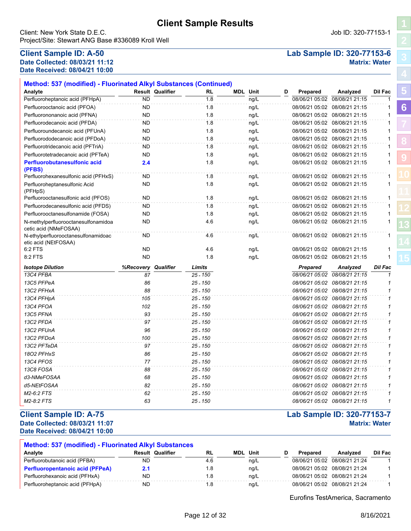Client: New York State D.E.C. Job ID: 320-77153-1 Project/Site: Stewart ANG Base #336089 Kroll Well

# **Date Collected: 08/03/21 11:12 Matrix: Water Date Received: 08/04/21 10:00**

# **Client Sample ID: A-50 Lab Sample ID: 320-77153-6**

**[5](#page-5-0)**

**[6](#page-6-0)**

**[8](#page-18-0)**

**[9](#page-24-0)**

**[13](#page-29-0)**

| Analyte                                                      |           | <b>Result Qualifier</b> | RL         | <b>MDL Unit</b> | D | Prepared        | Analyzed                      | Dil Fac        |
|--------------------------------------------------------------|-----------|-------------------------|------------|-----------------|---|-----------------|-------------------------------|----------------|
| Perfluoroheptanoic acid (PFHpA)                              | <b>ND</b> |                         | 1.8        | ng/L            |   | 08/06/21 05:02  | 08/08/21 21:15                | -1             |
| Perfluorooctanoic acid (PFOA)                                | ND.       |                         | 1.8        | ng/L            |   |                 | 08/06/21 05:02 08/08/21 21:15 | 1              |
| Perfluorononanoic acid (PFNA)                                | <b>ND</b> |                         | 1.8        | ng/L            |   |                 | 08/06/21 05:02 08/08/21 21:15 | $\mathbf{1}$   |
| Perfluorodecanoic acid (PFDA)                                | <b>ND</b> |                         | 1.8        | ng/L            |   |                 | 08/06/21 05:02 08/08/21 21:15 | 1              |
| Perfluoroundecanoic acid (PFUnA)                             | ND.       |                         | 1.8        | ng/L            |   |                 | 08/06/21 05:02 08/08/21 21:15 | 1              |
| Perfluorododecanoic acid (PFDoA)                             | <b>ND</b> |                         | 1.8        | ng/L            |   |                 | 08/06/21 05:02 08/08/21 21:15 | $\mathbf{1}$   |
| Perfluorotridecanoic acid (PFTriA)                           | <b>ND</b> |                         | 1.8        | ng/L            |   |                 | 08/06/21 05:02 08/08/21 21:15 | $\mathbf{1}$   |
| Perfluorotetradecanoic acid (PFTeA)                          | <b>ND</b> |                         | 1.8        | ng/L            |   |                 | 08/06/21 05:02 08/08/21 21:15 | $\mathbf{1}$   |
| <b>Perfluorobutanesulfonic acid</b><br>(PFBS)                | 2.4       |                         | 1.8        | ng/L            |   |                 | 08/06/21 05:02 08/08/21 21:15 | $\mathbf{1}$   |
| Perfluorohexanesulfonic acid (PFHxS)                         | ND        |                         | 1.8        | ng/L            |   |                 | 08/06/21 05:02 08/08/21 21:15 | 1              |
| Perfluoroheptanesulfonic Acid<br>(PFHpS)                     | <b>ND</b> |                         | 1.8        | ng/L            |   |                 | 08/06/21 05:02 08/08/21 21:15 | $\mathbf{1}$   |
| Perfluorooctanesulfonic acid (PFOS)                          | <b>ND</b> |                         | 1.8        | ng/L            |   |                 | 08/06/21 05:02 08/08/21 21:15 | $\mathbf{1}$   |
| Perfluorodecanesulfonic acid (PFDS)                          | ND.       |                         | 1.8        | ng/L            |   |                 | 08/06/21 05:02 08/08/21 21:15 | $\mathbf{1}$   |
| Perfluorooctanesulfonamide (FOSA)                            | <b>ND</b> |                         | 1.8        | ng/L            |   |                 | 08/06/21 05:02 08/08/21 21:15 | 1              |
| N-methylperfluorooctanesulfonamidoa<br>cetic acid (NMeFOSAA) | <b>ND</b> |                         | 4.6        | ng/L            |   |                 | 08/06/21 05:02 08/08/21 21:15 | $\mathbf{1}$   |
| N-ethylperfluorooctanesulfonamidoac<br>etic acid (NEtFOSAA)  | <b>ND</b> |                         | 4.6        | ng/L            |   |                 | 08/06/21 05:02 08/08/21 21:15 | $\mathbf{1}$   |
| 6:2 FTS                                                      | ND.       |                         | 4.6        | ng/L            |   |                 | 08/06/21 05:02 08/08/21 21:15 | $\mathbf{1}$   |
| 8:2 FTS                                                      | <b>ND</b> |                         | 1.8        | ng/L            |   |                 | 08/06/21 05:02 08/08/21 21:15 | $\mathbf{1}$   |
| <b>Isotope Dilution</b>                                      | %Recovery | Qualifier               | Limits     |                 |   | <b>Prepared</b> | Analyzed                      | <b>Dil Fac</b> |
| 13C4 PFBA                                                    | 87        |                         | 25 - 150   |                 |   |                 | 08/06/21 05:02 08/08/21 21:15 | $\mathbf{1}$   |
| 13C5 PFPeA                                                   | 86        |                         | 25 - 150   |                 |   |                 | 08/06/21 05:02 08/08/21 21:15 | 1              |
| 13C2 PFHxA                                                   | 88        |                         | 25 - 150   |                 |   |                 | 08/06/21 05:02 08/08/21 21:15 | 1              |
| 13C4 PFHpA                                                   | 105       |                         | 25 - 150   |                 |   |                 | 08/06/21 05:02 08/08/21 21:15 | 1              |
| 13C4 PFOA                                                    | 102       |                         | $25 - 150$ |                 |   |                 | 08/06/21 05:02 08/08/21 21:15 | $\mathbf{1}$   |
| 13C5 PFNA                                                    | 93        |                         | $25 - 150$ |                 |   |                 | 08/06/21 05:02 08/08/21 21:15 | $\mathbf{1}$   |
| 13C2 PFDA                                                    | 97        |                         | 25 - 150   |                 |   |                 | 08/06/21 05:02 08/08/21 21:15 | 1              |
| 13C2 PFUnA                                                   | 96        |                         | 25 - 150   |                 |   |                 | 08/06/21 05:02 08/08/21 21:15 | $\mathbf 1$    |
| 13C2 PFDoA                                                   | 100       |                         | 25 - 150   |                 |   |                 | 08/06/21 05:02 08/08/21 21:15 | 1              |
| 13C2 PFTeDA                                                  | 97        |                         | $25 - 150$ |                 |   |                 | 08/06/21 05:02 08/08/21 21:15 | $\mathbf{1}$   |
| 1802 PFHxS                                                   | 86        |                         | $25 - 150$ |                 |   |                 | 08/06/21 05:02 08/08/21 21:15 | $\mathbf{1}$   |
| 13C4 PFOS                                                    | 77        |                         | 25 - 150   |                 |   |                 | 08/06/21 05:02 08/08/21 21:15 | $\mathbf{1}$   |
| 13C8 FOSA                                                    | 88        |                         | $25 - 150$ |                 |   |                 | 08/06/21 05:02 08/08/21 21:15 | 1              |
| d3-NMeFOSAA                                                  | 68        |                         | $25 - 150$ |                 |   |                 | 08/06/21 05:02 08/08/21 21:15 | $\mathbf{1}$   |
| d5-NEtFOSAA                                                  | 82        |                         | 25 - 150   |                 |   |                 | 08/06/21 05:02 08/08/21 21:15 | 1              |
| M2-6:2 FTS                                                   | 62        |                         | $25 - 150$ |                 |   |                 | 08/06/21 05:02 08/08/21 21:15 | $\mathbf{1}$   |
| M2-8:2 FTS                                                   | 63        |                         | 25 - 150   |                 |   |                 | 08/06/21 05:02 08/08/21 21:15 | 1              |

### **Client Sample ID: A-75 Lab Sample ID: 320-77153-7 Date Collected: 08/03/21 11:07 Matrix: Water Date Received: 08/04/21 10:00**

### **Method: 537 (modified) - Fluorinated Alkyl Substances RL MDL**  $Perfluorobutanoic acid (PFBA)$   $ND$   $\overline{AD}$   $\overline{AD}$   $4.6$   $\overline{Hg/L}$   $0.08/021$   $0.08/21$   $0.08/21$   $0.124$   $1.24$ **Analyte Result Qualifier Unit D Prepared Analyzed Dil Fac Perfluoropentanoic acid (PFPeA) <b>2.1** 1.8 ng/L 08/06/21 05:02 08/08/21 21:24 1 Perfluorohexanoic acid (PFHxA) ND 1.8 ng/L 08/06/21 05:02 08/08/21 21:24 1 Perfluoroheptanoic acid (PFHpA) ND 1.8 ng/L 08/06/21 05:02 08/08/21 21:24 1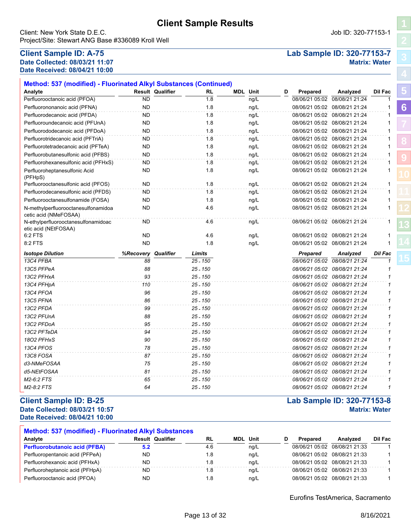Client: New York State D.E.C. Job ID: 320-77153-1 Project/Site: Stewart ANG Base #336089 Kroll Well

# **Date Collected: 08/03/21 11:07 Matrix: Water Date Received: 08/04/21 10:00**

# **Client Sample ID: A-75 Lab Sample ID: 320-77153-7**

| Method: 537 (modified) - Fluorinated Alkyl Substances (Continued) |                  |                         |            |                 |      |   |                 |                               |                |
|-------------------------------------------------------------------|------------------|-------------------------|------------|-----------------|------|---|-----------------|-------------------------------|----------------|
| Analyte                                                           |                  | <b>Result Qualifier</b> | <b>RL</b>  | <b>MDL</b> Unit |      | D | Prepared        | Analyzed                      | <b>Dil Fac</b> |
| Perfluorooctanoic acid (PFOA)                                     | <b>ND</b>        |                         | 1.8        |                 | ng/L |   | 08/06/21 05:02  | 08/08/21 21:24                | $\mathbf{1}$   |
| Perfluorononanoic acid (PFNA)                                     | <b>ND</b>        |                         | 1.8        |                 | ng/L |   | 08/06/21 05:02  | 08/08/21 21:24                | 1              |
| Perfluorodecanoic acid (PFDA)                                     | <b>ND</b>        |                         | 1.8        |                 | ng/L |   |                 | 08/06/21 05:02 08/08/21 21:24 | 1              |
| Perfluoroundecanoic acid (PFUnA)                                  | <b>ND</b>        |                         | 1.8        |                 | ng/L |   |                 | 08/06/21 05:02 08/08/21 21:24 | 1              |
| Perfluorododecanoic acid (PFDoA)                                  | <b>ND</b>        |                         | 1.8        |                 | ng/L |   |                 | 08/06/21 05:02 08/08/21 21:24 | $\mathbf{1}$   |
| Perfluorotridecanoic acid (PFTriA)                                | ND.              |                         | 1.8        |                 | ng/L |   |                 | 08/06/21 05:02 08/08/21 21:24 | 1              |
| Perfluorotetradecanoic acid (PFTeA)                               | <b>ND</b>        |                         | 1.8        |                 | ng/L |   |                 | 08/06/21 05:02 08/08/21 21:24 | 1              |
| Perfluorobutanesulfonic acid (PFBS)                               | <b>ND</b>        |                         | 1.8        |                 | ng/L |   |                 | 08/06/21 05:02 08/08/21 21:24 | $\mathbf{1}$   |
| Perfluorohexanesulfonic acid (PFHxS)                              | ND.              |                         | 1.8        |                 | ng/L |   |                 | 08/06/21 05:02 08/08/21 21:24 | 1              |
| Perfluoroheptanesulfonic Acid<br>(PFHpS)                          | <b>ND</b>        |                         | 1.8        |                 | ng/L |   |                 | 08/06/21 05:02 08/08/21 21:24 | $\mathbf{1}$   |
| Perfluorooctanesulfonic acid (PFOS)                               | <b>ND</b>        |                         | 1.8        |                 | ng/L |   |                 | 08/06/21 05:02 08/08/21 21:24 | $\mathbf{1}$   |
| Perfluorodecanesulfonic acid (PFDS)                               | ND.              |                         | 1.8        |                 | ng/L |   |                 | 08/06/21 05:02 08/08/21 21:24 | $\mathbf{1}$   |
| Perfluorooctanesulfonamide (FOSA)                                 | <b>ND</b>        |                         | 1.8        |                 | ng/L |   |                 | 08/06/21 05:02 08/08/21 21:24 | 1              |
| N-methylperfluorooctanesulfonamidoa<br>cetic acid (NMeFOSAA)      | <b>ND</b>        |                         | 4.6        |                 | ng/L |   |                 | 08/06/21 05:02 08/08/21 21:24 | 1              |
| N-ethylperfluorooctanesulfonamidoac<br>etic acid (NEtFOSAA)       | ND.              |                         | 4.6        |                 | ng/L |   |                 | 08/06/21 05:02 08/08/21 21:24 | 1              |
| 6:2 FTS                                                           | <b>ND</b>        |                         | 4.6        |                 | ng/L |   |                 | 08/06/21 05:02 08/08/21 21:24 | 1              |
|                                                                   |                  |                         |            |                 |      |   |                 |                               |                |
| 8:2 FTS                                                           | <b>ND</b>        |                         | 1.8        |                 | ng/L |   |                 | 08/06/21 05:02 08/08/21 21:24 | 1              |
| <b>Isotope Dilution</b>                                           | <b>%Recovery</b> | Qualifier               | Limits     |                 |      |   | <b>Prepared</b> | Analyzed                      | <b>Dil Fac</b> |
| 13C4 PFBA                                                         | 88               |                         | $25 - 150$ |                 |      |   |                 | 08/06/21 05:02 08/08/21 21:24 | 1              |
| 13C5 PFPeA                                                        | 88               |                         | 25 - 150   |                 |      |   |                 | 08/06/21 05:02 08/08/21 21:24 | 1              |
| 13C2 PFHxA                                                        | 93               |                         | $25 - 150$ |                 |      |   |                 | 08/06/21 05:02 08/08/21 21:24 | 1              |
| 13C4 PFHpA                                                        | 110              |                         | $25 - 150$ |                 |      |   |                 | 08/06/21 05:02 08/08/21 21:24 | 1              |
| 13C4 PFOA                                                         | 96               |                         | $25 - 150$ |                 |      |   |                 | 08/06/21 05:02 08/08/21 21:24 | $\mathbf{1}$   |
| 13C5 PFNA                                                         | 86               |                         | 25 - 150   |                 |      |   |                 | 08/06/21 05:02 08/08/21 21:24 | 1              |
| 13C2 PFDA                                                         | 99               |                         | $25 - 150$ |                 |      |   |                 | 08/06/21 05:02 08/08/21 21:24 | 1              |
| 13C2 PFUnA                                                        | 88               |                         | $25 - 150$ |                 |      |   |                 | 08/06/21 05:02 08/08/21 21:24 | 1              |
| 13C2 PFDoA                                                        | 95               |                         | $25 - 150$ |                 |      |   |                 | 08/06/21 05:02 08/08/21 21:24 | 1              |
| 13C2 PFTeDA                                                       | 94               |                         | $25 - 150$ |                 |      |   |                 | 08/06/21 05:02 08/08/21 21:24 | $\mathbf{1}$   |
| 1802 PFHxS                                                        | 90               |                         | $25 - 150$ |                 |      |   |                 | 08/06/21 05:02 08/08/21 21:24 | 1              |
| 13C4 PFOS                                                         | 78               |                         | $25 - 150$ |                 |      |   |                 | 08/06/21 05:02 08/08/21 21:24 | $\mathbf{1}$   |
| 13C8 FOSA                                                         | 87               |                         | 25 - 150   |                 |      |   |                 | 08/06/21 05:02 08/08/21 21:24 | 1              |
| d3-NMeFOSAA                                                       | 75               |                         | $25 - 150$ |                 |      |   |                 | 08/06/21 05:02 08/08/21 21:24 | 1              |
| d5-NEtFOSAA                                                       | 81               |                         | $25 - 150$ |                 |      |   |                 | 08/06/21 05:02 08/08/21 21:24 | 1              |
| M2-6:2 FTS                                                        | 65               |                         | 25 - 150   |                 |      |   |                 | 08/06/21 05:02 08/08/21 21:24 | 1              |

### **Client Sample ID: B-25 Lab Sample ID: 320-77153-8 Date Collected: 08/03/21 10:57 Matrix: Water Date Received: 08/04/21 10:00**

| <b>Method: 537 (modified) - Fluorinated Alkyl Substances</b> |     |                         |           |                 |      |          |                               |         |
|--------------------------------------------------------------|-----|-------------------------|-----------|-----------------|------|----------|-------------------------------|---------|
| Analyte                                                      |     | <b>Result Qualifier</b> | <b>RL</b> | <b>MDL</b> Unit |      | Prepared | Analyzed                      | Dil Fac |
| <b>Perfluorobutanoic acid (PFBA)</b>                         | 5.2 |                         | 4.6       |                 | nq/L |          | 08/06/21 05:02 08/08/21 21:33 |         |
| Perfluoropentanoic acid (PFPeA)                              | ND  |                         | 1.8       |                 | nq/L |          | 08/06/21 05:02 08/08/21 21:33 |         |
| Perfluorohexanoic acid (PFHxA)                               | ND  |                         | 1.8       |                 | nq/L |          | 08/06/21 05:02 08/08/21 21:33 |         |
| Perfluoroheptanoic acid (PFHpA)                              | ND  |                         | 1.8       |                 | nq/L |          | 08/06/21 05:02 08/08/21 21:33 |         |
| Perfluorooctanoic acid (PFOA)                                | ND  |                         | 1.8       |                 | ng/L |          | 08/06/21 05:02 08/08/21 21:33 |         |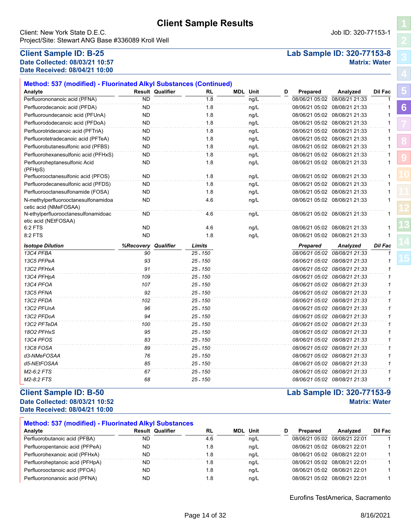Client: New York State D.E.C. Job ID: 320-77153-1 Project/Site: Stewart ANG Base #336089 Kroll Well

# **Date Collected: 08/03/21 10:57 Matrix: Water Date Received: 08/04/21 10:00**

# **Client Sample ID: B-25 Lab Sample ID: 320-77153-8**

| Method: 537 (modified) - Fluorinated Alkyl Substances (Continued) |                  |                         |            |                 |   |                 |                               |                |
|-------------------------------------------------------------------|------------------|-------------------------|------------|-----------------|---|-----------------|-------------------------------|----------------|
| Analyte                                                           |                  | <b>Result Qualifier</b> | RL         | <b>MDL Unit</b> | D | Prepared        | Analyzed                      | Dil Fac        |
| Perfluorononanoic acid (PFNA)                                     | <b>ND</b>        |                         | 1.8        | ng/L            |   |                 | 08/06/21 05:02 08/08/21 21:33 | $\mathbf{1}$   |
| Perfluorodecanoic acid (PFDA)                                     | ND.              |                         | 1.8        | ng/L            |   |                 | 08/06/21 05:02 08/08/21 21:33 | 1              |
| Perfluoroundecanoic acid (PFUnA)                                  | <b>ND</b>        |                         | 1.8        | ng/L            |   |                 | 08/06/21 05:02 08/08/21 21:33 | $\mathbf{1}$   |
| Perfluorododecanoic acid (PFDoA)                                  | <b>ND</b>        |                         | 1.8        | ng/L            |   |                 | 08/06/21 05:02 08/08/21 21:33 | $\mathbf{1}$   |
| Perfluorotridecanoic acid (PFTriA)                                | ND.              |                         | 1.8        | ng/L            |   |                 | 08/06/21 05:02 08/08/21 21:33 | 1              |
| Perfluorotetradecanoic acid (PFTeA)                               | <b>ND</b>        |                         | 1.8        | ng/L            |   |                 | 08/06/21 05:02 08/08/21 21:33 | 1              |
| Perfluorobutanesulfonic acid (PFBS)                               | <b>ND</b>        |                         | 1.8        | ng/L            |   |                 | 08/06/21 05:02 08/08/21 21:33 | $\mathbf{1}$   |
| Perfluorohexanesulfonic acid (PFHxS)                              | ND               |                         | 1.8        | ng/L            |   |                 | 08/06/21 05:02 08/08/21 21:33 | 1              |
| Perfluoroheptanesulfonic Acid<br>(PFHpS)                          | ND               |                         | 1.8        | ng/L            |   |                 | 08/06/21 05:02 08/08/21 21:33 | 1              |
| Perfluorooctanesulfonic acid (PFOS)                               | <b>ND</b>        |                         | 1.8        | ng/L            |   |                 | 08/06/21 05:02 08/08/21 21:33 | $\mathbf{1}$   |
| Perfluorodecanesulfonic acid (PFDS)                               | ND.              |                         | 1.8        | ng/L            |   |                 | 08/06/21 05:02 08/08/21 21:33 | $\mathbf{1}$   |
| Perfluorooctanesulfonamide (FOSA)                                 | <b>ND</b>        |                         | 1.8        | ng/L            |   |                 | 08/06/21 05:02 08/08/21 21:33 | $\mathbf{1}$   |
| N-methylperfluorooctanesulfonamidoa<br>cetic acid (NMeFOSAA)      | ND               |                         | 4.6        | ng/L            |   |                 | 08/06/21 05:02 08/08/21 21:33 | $\mathbf{1}$   |
| N-ethylperfluorooctanesulfonamidoac<br>etic acid (NEtFOSAA)       | <b>ND</b>        |                         | 4.6        | ng/L            |   |                 | 08/06/21 05:02 08/08/21 21:33 | $\mathbf{1}$   |
| 6:2 FTS                                                           | <b>ND</b>        |                         | 4.6        | ng/L            |   |                 | 08/06/21 05:02 08/08/21 21:33 | 1              |
| 8:2 FTS                                                           | ND               |                         | 1.8        | ng/L            |   |                 | 08/06/21 05:02 08/08/21 21:33 | $\mathbf{1}$   |
| <b>Isotope Dilution</b>                                           | <b>%Recovery</b> | Qualifier               | Limits     |                 |   | <b>Prepared</b> | Analyzed                      | <b>Dil Fac</b> |
| 13C4 PFBA                                                         | 90               |                         | 25 - 150   |                 |   |                 | 08/06/21 05:02 08/08/21 21:33 | $\mathbf{1}$   |
| 13C5 PFPeA                                                        | 93               |                         | $25 - 150$ |                 |   |                 | 08/06/21 05:02 08/08/21 21:33 | 1              |
| 13C2 PFHxA                                                        | 91               |                         | $25 - 150$ |                 |   |                 | 08/06/21 05:02 08/08/21 21:33 | 1              |
| 13C4 PFHpA                                                        | 109              |                         | $25 - 150$ |                 |   |                 | 08/06/21 05:02 08/08/21 21:33 | $\mathbf{1}$   |
| 13C4 PFOA                                                         | 107              |                         | 25 - 150   |                 |   |                 | 08/06/21 05:02 08/08/21 21:33 | 1              |
| 13C5 PFNA                                                         | 92               |                         | $25 - 150$ |                 |   |                 | 08/06/21 05:02 08/08/21 21:33 | 1              |
| 13C2 PFDA                                                         | 102              |                         | $25 - 150$ |                 |   |                 | 08/06/21 05:02 08/08/21 21:33 | 1              |
| 13C2 PFUnA                                                        | 96               |                         | $25 - 150$ |                 |   |                 | 08/06/21 05:02 08/08/21 21:33 | $\mathbf{1}$   |
| 13C2 PFDoA                                                        | 94               |                         | $25 - 150$ |                 |   |                 | 08/06/21 05:02 08/08/21 21:33 | $\mathcal I$   |
| 13C2 PFTeDA                                                       | 100              |                         | $25 - 150$ |                 |   |                 | 08/06/21 05:02 08/08/21 21:33 | 1              |
| 1802 PFHxS                                                        | 95               |                         | $25 - 150$ |                 |   |                 | 08/06/21 05:02 08/08/21 21:33 | $\mathcal I$   |
| 13C4 PFOS                                                         | 83               |                         | $25 - 150$ |                 |   |                 | 08/06/21 05:02 08/08/21 21:33 | $\mathbf{1}$   |
| 13C8 FOSA                                                         | 89               |                         | 25 - 150   |                 |   |                 | 08/06/21 05:02 08/08/21 21:33 | 1              |
| d3-NMeFOSAA                                                       | 76               |                         | $25 - 150$ |                 |   |                 | 08/06/21 05:02 08/08/21 21:33 | 1              |
| d5-NEtFOSAA                                                       | 85               |                         | $25 - 150$ |                 |   |                 | 08/06/21 05:02 08/08/21 21:33 | $\mathcal I$   |
| M2-6:2 FTS                                                        | 67               |                         | $25 - 150$ |                 |   |                 | 08/06/21 05:02 08/08/21 21:33 | 1              |
| M2-8:2 FTS                                                        | 68               |                         | $25 - 150$ |                 |   |                 | 08/06/21 05:02 08/08/21 21:33 | 1              |

# **Client Sample ID: B-50 Lab Sample ID: 320-77153-9**

**Date Collected: 08/03/21 10:52 Matrix: Water Date Received: 08/04/21 10:00**

| <b>Method: 537 (modified) - Fluorinated Alkyl Substances</b> |           |                         |      |  |                 |   |          |                               |         |  |
|--------------------------------------------------------------|-----------|-------------------------|------|--|-----------------|---|----------|-------------------------------|---------|--|
| Analyte                                                      |           | <b>Result Qualifier</b> | RL   |  | <b>MDL</b> Unit | D | Prepared | Analyzed                      | Dil Fac |  |
| Perfluorobutanoic acid (PFBA)                                | ND        |                         | 4.6  |  | nq/L            |   |          | 08/06/21 05:02 08/08/21 22:01 |         |  |
| Perfluoropentanoic acid (PFPeA)                              | ND        |                         | 1.8  |  | nq/L            |   |          | 08/06/21 05:02 08/08/21 22:01 |         |  |
| Perfluorohexanoic acid (PFHxA)                               | ND        |                         | 1.8  |  | nq/L            |   |          | 08/06/21 05:02 08/08/21 22:01 |         |  |
| Perfluoroheptanoic acid (PFHpA)                              | ND        |                         | 8.،  |  | nq/L            |   |          | 08/06/21 05:02 08/08/21 22:01 |         |  |
| Perfluorooctanoic acid (PFOA)                                | <b>ND</b> |                         | 1.8  |  | ng/L            |   |          | 08/06/21 05:02 08/08/21 22:01 |         |  |
| Perfluorononanoic acid (PFNA)                                | <b>ND</b> |                         | 8. ا |  | nq/L            |   |          | 08/06/21 05:02 08/08/21 22:01 |         |  |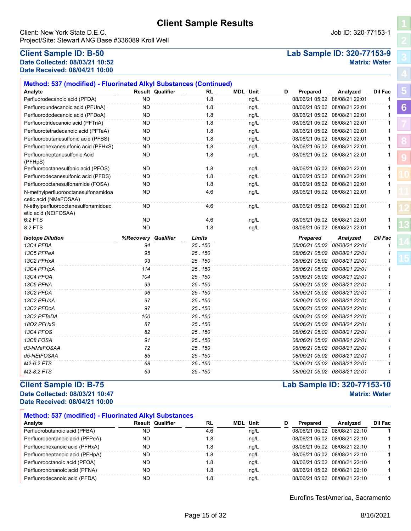Client: New York State D.E.C. Job ID: 320-77153-1 Project/Site: Stewart ANG Base #336089 Kroll Well

### **Client Sample ID: B-50 Lab Sample ID: 320-77153-9 Date Collected: 08/03/21 10:52 Matrix: Water Date Received: 08/04/21 10:00**

| Analyte                                                      |           | <b>Result Qualifier</b> | RL         | <b>MDL</b> Unit |      | D | Prepared                      | Analyzed                      | Dil Fac        | ю |
|--------------------------------------------------------------|-----------|-------------------------|------------|-----------------|------|---|-------------------------------|-------------------------------|----------------|---|
| Perfluorodecanoic acid (PFDA)                                | <b>ND</b> |                         | 1.8        |                 | ng/L |   |                               | 08/06/21 05:02 08/08/21 22:01 | 1              |   |
| Perfluoroundecanoic acid (PFUnA)                             | <b>ND</b> |                         | 1.8        |                 | ng/L |   |                               | 08/06/21 05:02 08/08/21 22:01 | 1              | 6 |
| Perfluorododecanoic acid (PFDoA)                             | <b>ND</b> |                         | 1.8        |                 | ng/L |   |                               | 08/06/21 05:02 08/08/21 22:01 | 1              |   |
| Perfluorotridecanoic acid (PFTriA)                           | ND        |                         | 1.8        |                 | ng/L |   | 08/06/21 05:02 08/08/21 22:01 |                               | 1              |   |
| Perfluorotetradecanoic acid (PFTeA)                          | <b>ND</b> |                         | 1.8        |                 | ng/L |   |                               | 08/06/21 05:02 08/08/21 22:01 | 1              |   |
| Perfluorobutanesulfonic acid (PFBS)                          | <b>ND</b> |                         | 1.8        |                 | ng/L |   |                               | 08/06/21 05:02 08/08/21 22:01 |                |   |
| Perfluorohexanesulfonic acid (PFHxS)                         | ND        |                         | 1.8        |                 | ng/L |   |                               | 08/06/21 05:02 08/08/21 22:01 | 1              |   |
| Perfluoroheptanesulfonic Acid<br>(PFHpS)                     | ND        |                         | 1.8        |                 | ng/L |   | 08/06/21 05:02 08/08/21 22:01 |                               |                |   |
| Perfluorooctanesulfonic acid (PFOS)                          | <b>ND</b> |                         | 1.8        |                 | ng/L |   |                               | 08/06/21 05:02 08/08/21 22:01 | $\mathbf 1$    |   |
| Perfluorodecanesulfonic acid (PFDS)                          | <b>ND</b> |                         | 1.8        |                 | ng/L |   |                               | 08/06/21 05:02 08/08/21 22:01 | 1              |   |
| Perfluorooctanesulfonamide (FOSA)                            | <b>ND</b> |                         | 1.8        |                 | ng/L |   |                               | 08/06/21 05:02 08/08/21 22:01 | 1              |   |
| N-methylperfluorooctanesulfonamidoa<br>cetic acid (NMeFOSAA) | ND        |                         | 4.6        |                 | ng/L |   |                               | 08/06/21 05:02 08/08/21 22:01 | 1              |   |
| N-ethylperfluorooctanesulfonamidoac<br>etic acid (NEtFOSAA)  | ND        |                         | 4.6        |                 | ng/L |   |                               | 08/06/21 05:02 08/08/21 22:01 |                |   |
| 6:2 FTS                                                      | <b>ND</b> |                         | 4.6        |                 | ng/L |   |                               | 08/06/21 05:02 08/08/21 22:01 |                |   |
| 8:2 FTS                                                      | <b>ND</b> |                         | 1.8        |                 | ng/L |   |                               | 08/06/21 05:02 08/08/21 22:01 |                |   |
| <b>Isotope Dilution</b>                                      | %Recovery | Qualifier               | Limits     |                 |      |   | Prepared                      | Analyzed                      | <b>Dil Fac</b> |   |
| 13C4 PFBA                                                    | 94        |                         | 25 - 150   |                 |      |   |                               | 08/06/21 05:02 08/08/21 22:01 |                |   |
| 13C5 PFPeA                                                   | 95        |                         | $25 - 150$ |                 |      |   |                               | 08/06/21 05:02 08/08/21 22:01 |                |   |
| 13C2 PFHxA                                                   | 93        |                         | $25 - 150$ |                 |      |   |                               | 08/06/21 05:02 08/08/21 22:01 | 1              |   |
| 13C4 PFHpA                                                   | 114       |                         | $25 - 150$ |                 |      |   |                               | 08/06/21 05:02 08/08/21 22:01 | 1              |   |
| 13C4 PFOA                                                    | 104       |                         | $25 - 150$ |                 |      |   |                               | 08/06/21 05:02 08/08/21 22:01 |                |   |
| 13C5 PFNA                                                    | 99        |                         | $25 - 150$ |                 |      |   |                               | 08/06/21 05:02 08/08/21 22:01 | 1              |   |
| 13C2 PFDA                                                    | 96        |                         | 25 - 150   |                 |      |   |                               | 08/06/21 05:02 08/08/21 22:01 | 1              |   |
| 13C2 PFUnA                                                   | 97        |                         | 25 - 150   |                 |      |   |                               | 08/06/21 05:02 08/08/21 22:01 | 1              |   |
| 13C2 PFDoA                                                   | 97        |                         | 25 - 150   |                 |      |   |                               | 08/06/21 05:02 08/08/21 22:01 | 1              |   |
| 13C2 PFTeDA                                                  | 100       |                         | 25 - 150   |                 |      |   |                               | 08/06/21 05:02 08/08/21 22:01 | 1              |   |
| 1802 PFHxS                                                   | 87        |                         | 25 - 150   |                 |      |   |                               | 08/06/21 05:02 08/08/21 22:01 | 1              |   |
| 13C4 PFOS                                                    | 82        |                         | 25 - 150   |                 |      |   |                               | 08/06/21 05:02 08/08/21 22:01 | 1              |   |
| 13C8 FOSA                                                    | 91        |                         | 25 - 150   |                 |      |   |                               | 08/06/21 05:02 08/08/21 22:01 | 1              |   |
| d3-NMeFOSAA                                                  | 72        |                         | $25 - 150$ |                 |      |   |                               | 08/06/21 05:02 08/08/21 22:01 | 1              |   |
| d5-NEtFOSAA                                                  | 85        |                         | $25 - 150$ |                 |      |   |                               | 08/06/21 05:02 08/08/21 22:01 | $\mathbf{1}$   |   |
| M2-6:2 FTS                                                   | 68        |                         | 25 - 150   |                 |      |   |                               | 08/06/21 05:02 08/08/21 22:01 | 1              |   |
|                                                              |           |                         |            |                 |      |   |                               |                               |                |   |

### **Client Sample ID: B-75 Lab Sample ID: 320-77153-10 Date Collected: 08/03/21 10:47 Matrix: Water Date Received: 08/04/21 10:00**

| <b>Method: 537 (modified) - Fluorinated Alkyl Substances</b> |                         |  |     |     |      |   |          |                               |         |  |
|--------------------------------------------------------------|-------------------------|--|-----|-----|------|---|----------|-------------------------------|---------|--|
| Analyte                                                      | <b>Result Qualifier</b> |  | RL  | MDL | Unit | D | Prepared | Analyzed                      | Dil Fac |  |
| Perfluorobutanoic acid (PFBA)                                | ND                      |  | 4.6 |     | ng/L |   |          | 08/06/21 05:02 08/08/21 22:10 |         |  |
| Perfluoropentanoic acid (PFPeA)                              | ND                      |  | 1.8 |     | nq/L |   |          | 08/06/21 05:02 08/08/21 22:10 |         |  |
| Perfluorohexanoic acid (PFHxA)                               | ND                      |  | 1.8 |     | nq/L |   |          | 08/06/21 05:02 08/08/21 22:10 |         |  |
| Perfluoroheptanoic acid (PFHpA)                              | ND                      |  | 1.8 |     | nq/L |   |          | 08/06/21 05:02 08/08/21 22:10 |         |  |
| Perfluorooctanoic acid (PFOA)                                | ND                      |  | 1.8 |     | nq/L |   |          | 08/06/21 05:02 08/08/21 22:10 |         |  |
| Perfluorononanoic acid (PFNA)                                | ND                      |  | 1.8 |     | nq/L |   |          | 08/06/21 05:02 08/08/21 22:10 |         |  |
| Perfluorodecanoic acid (PFDA)                                | ND                      |  | 1.8 |     | nq/L |   |          | 08/06/21 05:02 08/08/21 22:10 |         |  |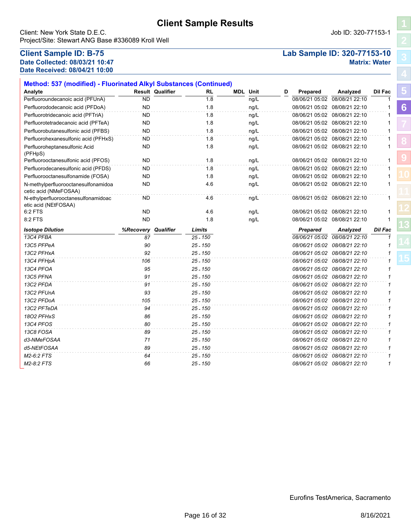Client: New York State D.E.C. **Community** Client: New York State D.E.C. Project/Site: Stewart ANG Base #336089 Kroll Well

# **Date Collected: 08/03/21 10:47 Matrix: Water Date Received: 08/04/21 10:00**

# **Client Sample ID: B-75 Lab Sample ID: 320-77153-10**

**[5](#page-5-0)**

**[6](#page-6-0)**

| Method: 537 (modified) - Fluorinated Alkyl Substances (Continued) |           |                         |            |                 |      |   |                |                               |                |
|-------------------------------------------------------------------|-----------|-------------------------|------------|-----------------|------|---|----------------|-------------------------------|----------------|
| Analyte                                                           |           | <b>Result Qualifier</b> | RL         | <b>MDL</b> Unit |      | D | Prepared       | Analyzed                      | Dil Fac        |
| Perfluoroundecanoic acid (PFUnA)                                  | <b>ND</b> |                         | 1.8        |                 | ng/L |   | 08/06/21 05:02 | 08/08/21 22:10                | $\mathbf{1}$   |
| Perfluorododecanoic acid (PFDoA)                                  | <b>ND</b> |                         | 1.8        |                 | ng/L |   |                | 08/06/21 05:02 08/08/21 22:10 |                |
| Perfluorotridecanoic acid (PFTriA)                                | ND        |                         | 1.8        |                 | ng/L |   |                | 08/06/21 05:02 08/08/21 22:10 | 1              |
| Perfluorotetradecanoic acid (PFTeA)                               | <b>ND</b> |                         | 1.8        |                 | ng/L |   |                | 08/06/21 05:02 08/08/21 22:10 | 1              |
| Perfluorobutanesulfonic acid (PFBS)                               | <b>ND</b> |                         | 1.8        |                 | ng/L |   |                | 08/06/21 05:02 08/08/21 22:10 | 1              |
| Perfluorohexanesulfonic acid (PFHxS)                              | <b>ND</b> |                         | 1.8        |                 | ng/L |   |                | 08/06/21 05:02 08/08/21 22:10 | 1              |
| Perfluoroheptanesulfonic Acid<br>(PFHpS)                          | <b>ND</b> |                         | 1.8        |                 | ng/L |   |                | 08/06/21 05:02 08/08/21 22:10 | 1              |
| Perfluorooctanesulfonic acid (PFOS)                               | <b>ND</b> |                         | 1.8        |                 | ng/L |   |                | 08/06/21 05:02 08/08/21 22:10 | $\mathbf{1}$   |
| Perfluorodecanesulfonic acid (PFDS)                               | ND        |                         | 1.8        |                 | ng/L |   |                | 08/06/21 05:02 08/08/21 22:10 | $\mathbf{1}$   |
| Perfluorooctanesulfonamide (FOSA)                                 | <b>ND</b> |                         | 1.8        |                 | ng/L |   |                | 08/06/21 05:02 08/08/21 22:10 | $\mathbf{1}$   |
| N-methylperfluorooctanesulfonamidoa<br>cetic acid (NMeFOSAA)      | <b>ND</b> |                         | 4.6        |                 | ng/L |   |                | 08/06/21 05:02 08/08/21 22:10 | 1              |
| N-ethylperfluorooctanesulfonamidoac<br>etic acid (NEtFOSAA)       | <b>ND</b> |                         | 4.6        |                 | ng/L |   |                | 08/06/21 05:02 08/08/21 22:10 | 1              |
| 6:2 FTS                                                           | <b>ND</b> |                         | 4.6        |                 | ng/L |   |                | 08/06/21 05:02 08/08/21 22:10 |                |
| 8:2 FTS                                                           | <b>ND</b> |                         | 1.8        |                 | ng/L |   |                | 08/06/21 05:02 08/08/21 22:10 | 1              |
|                                                                   |           |                         |            |                 |      |   |                |                               |                |
| <b>Isotope Dilution</b>                                           | %Recovery | Qualifier               | Limits     |                 |      |   | Prepared       | Analyzed                      | <b>Dil Fac</b> |
| 13C4 PFBA                                                         | 87        |                         | $25 - 150$ |                 |      |   |                | 08/06/21 05:02 08/08/21 22:10 | 1              |
| 13C5 PFPeA                                                        | 90        |                         | $25 - 150$ |                 |      |   |                | 08/06/21 05:02 08/08/21 22:10 | 1              |
| 13C2 PFHxA                                                        | 92        |                         | $25 - 150$ |                 |      |   |                | 08/06/21 05:02 08/08/21 22:10 | 1              |
| 13C4 PFHpA                                                        | 106       |                         | $25 - 150$ |                 |      |   |                | 08/06/21 05:02 08/08/21 22:10 | 1              |
| 13C4 PFOA                                                         | 95        |                         | $25 - 150$ |                 |      |   |                | 08/06/21 05:02 08/08/21 22:10 | 1              |
| 13C5 PFNA                                                         | 91        |                         | $25 - 150$ |                 |      |   |                | 08/06/21 05:02 08/08/21 22:10 | 1              |
| 13C2 PFDA                                                         | 91        |                         | $25 - 150$ |                 |      |   |                | 08/06/21 05:02 08/08/21 22:10 | 1              |
| 13C2 PFUnA                                                        | 93        |                         | $25 - 150$ |                 |      |   |                | 08/06/21 05:02 08/08/21 22:10 | 1              |
| 13C2 PFDoA                                                        | 105       |                         | $25 - 150$ |                 |      |   |                | 08/06/21 05:02 08/08/21 22:10 | 1              |
| 13C2 PFTeDA                                                       | 94        |                         | $25 - 150$ |                 |      |   |                | 08/06/21 05:02 08/08/21 22:10 | 1              |
| 1802 PFHxS                                                        | 86        |                         | $25 - 150$ |                 |      |   |                | 08/06/21 05:02 08/08/21 22:10 | 1              |
| 13C4 PFOS                                                         | 80        |                         | $25 - 150$ |                 |      |   |                | 08/06/21 05:02 08/08/21 22:10 | 1              |
| 13C8 FOSA                                                         | 89        |                         | $25 - 150$ |                 |      |   |                | 08/06/21 05:02 08/08/21 22:10 | 1              |
| d3-NMeFOSAA                                                       | 71        |                         | $25 - 150$ |                 |      |   |                | 08/06/21 05:02 08/08/21 22:10 | 1              |
| d5-NEtFOSAA                                                       | 89        |                         | $25 - 150$ |                 |      |   |                | 08/06/21 05:02 08/08/21 22:10 | 1              |
| M2-6:2 FTS                                                        | 64        |                         | $25 - 150$ |                 |      |   |                | 08/06/21 05:02 08/08/21 22:10 | $\mathbf{1}$   |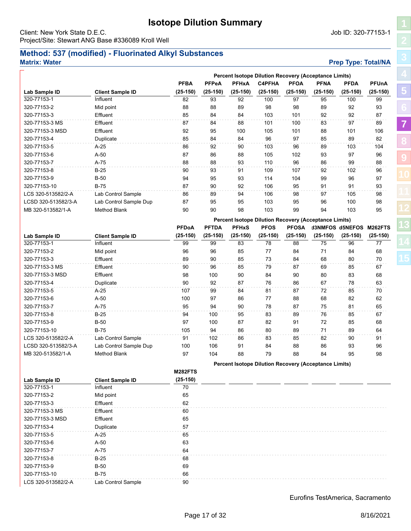# **Isotope Dilution Summary**

<span id="page-16-0"></span>Client: New York State D.E.C. Job ID: 320-77153-1 Project/Site: Stewart ANG Base #336089 Kroll Well

**Method: 537 (modified) - Fluorinated Alkyl Substances**

## **Matrix: Water Prep Type: Total/NA**

**PFBA PFPeA PFHxA C4PFHA PFOA PFNA PFDA PFUnA**

**Percent Isotope Dilution Recovery (Acceptance Limits)**

| ׅׅ֚֡֡֬֝<br>l           |
|------------------------|
| $\overline{1}$         |
| <b>CONTRACTOR</b><br>j |
| I                      |
|                        |
| ľ                      |
| ŀ<br>I<br>ı            |
| í<br>ĺ                 |
| í<br>I                 |
|                        |
| Í                      |

**[13](#page-29-0)**

| Lab Sample ID       | <b>Client Sample ID</b> | $(25-150)$     | $(25-150)$   | $(25-150)$   | $(25-150)$  | $(25-150)$   | $(25-150)$                                            | $(25-150)$              | $(25-150)$ |
|---------------------|-------------------------|----------------|--------------|--------------|-------------|--------------|-------------------------------------------------------|-------------------------|------------|
| 320-77153-1         | Influent                | 82             | 93           | 92           | 100         | 97           | 95                                                    | 100                     | 99         |
| 320-77153-2         | Mid point               | 88             | 88           | 89           | 98          | 98           | 89                                                    | 92                      | 93         |
| 320-77153-3         | Effluent                | 85             | 84           | 84           | 103         | 101          | 92                                                    | 92                      | 87         |
| 320-77153-3 MS      | Effluent                | 87             | 84           | 88           | 101         | 100          | 83                                                    | 97                      | 89         |
| 320-77153-3 MSD     | Effluent                | 92             | 95           | 100          | 105         | 101          | 88                                                    | 101                     | 106        |
| 320-77153-4         | Duplicate               | 85             | 84           | 84           | 96          | 97           | 85                                                    | 89                      | 82         |
| 320-77153-5         | $A-25$                  | 86             | 92           | 90           | 103         | 96           | 89                                                    | 103                     | 104        |
| 320-77153-6         | $A-50$                  | 87             | 86           | 88           | 105         | 102          | 93                                                    | 97                      | 96         |
| 320-77153-7         | $A-75$                  | 88             | 88           | 93           | 110         | 96           | 86                                                    | 99                      | 88         |
| 320-77153-8         | $B-25$                  | 90             | 93           | 91           | 109         | 107          | 92                                                    | 102                     | 96         |
| 320-77153-9         | <b>B-50</b>             | 94             | 95           | 93           | 114         | 104          | 99                                                    | 96                      | 97         |
| 320-77153-10        | $B-75$                  | 87             | 90           | 92           | 106         | 95           | 91                                                    | 91                      | 93         |
| LCS 320-513582/2-A  | Lab Control Sample      | 86             | 89           | 94           | 106         | 98           | 97                                                    | 105                     | 98         |
| LCSD 320-513582/3-A | Lab Control Sample Dup  | 87             | 95           | 95           | 103         | 95           | 96                                                    | 100                     | 98         |
| MB 320-513582/1-A   | <b>Method Blank</b>     | 90             | 90           | 98           | 103         | 99           | 94                                                    | 103                     | 95         |
|                     |                         |                |              |              |             |              | Percent Isotope Dilution Recovery (Acceptance Limits) |                         |            |
|                     |                         | <b>PFDoA</b>   | <b>PFTDA</b> | <b>PFHxS</b> | <b>PFOS</b> | <b>PFOSA</b> |                                                       | d3NMFOS d5NEFOS M262FTS |            |
| Lab Sample ID       | <b>Client Sample ID</b> | $(25-150)$     | $(25-150)$   | $(25-150)$   | $(25-150)$  | $(25-150)$   | $(25-150)$                                            | $(25-150)$              | $(25-150)$ |
| 320-77153-1         | Influent                | 99             | 99           | 83           | 78          | 88           | 75                                                    | 96                      | 77         |
| 320-77153-2         | Mid point               | 96             | 96           | 85           | 77          | 84           | 71                                                    | 84                      | 68         |
| 320-77153-3         | Effluent                | 89             | 90           | 85           | 73          | 84           | 68                                                    | 80                      | 70         |
| 320-77153-3 MS      | Effluent                | 90             | 96           | 85           | 79          | 87           | 69                                                    | 85                      | 67         |
| 320-77153-3 MSD     | Effluent                | 98             | 100          | 90           | 84          | 90           | 80                                                    | 83                      | 68         |
| 320-77153-4         | Duplicate               | 90             | 92           | 87           | 76          | 86           | 67                                                    | 78                      | 63         |
| 320-77153-5         | $A-25$                  | 107            | 99           | 84           | 81          | 87           | 72                                                    | 85                      | 70         |
| 320-77153-6         | A-50                    | 100            | 97           | 86           | 77          | 88           | 68                                                    | 82                      | 62         |
| 320-77153-7         | A-75                    | 95             | 94           | 90           | 78          | 87           | 75                                                    | 81                      | 65         |
| 320-77153-8         | $B-25$                  | 94             | 100          | 95           | 83          | 89           | 76                                                    | 85                      | 67         |
| 320-77153-9         | <b>B-50</b>             | 97             | 100          | 87           | 82          | 91           | 72                                                    | 85                      | 68         |
| 320-77153-10        | $B-75$                  | 105            | 94           | 86           | 80          | 89           | 71                                                    | 89                      | 64         |
| LCS 320-513582/2-A  | Lab Control Sample      | 91             | 102          | 86           | 83          | 85           | 82                                                    | 90                      | 91         |
| LCSD 320-513582/3-A | Lab Control Sample Dup  | 100            | 106          | 91           | 84          | 88           | 86                                                    | 93                      | 96         |
| MB 320-513582/1-A   | <b>Method Blank</b>     | 97             | 104          | 88           | 79          | 88           | 84                                                    | 95                      | 98         |
|                     |                         |                |              |              |             |              |                                                       |                         |            |
|                     |                         |                |              |              |             |              | Percent Isotope Dilution Recovery (Acceptance Limits) |                         |            |
|                     |                         | <b>M282FTS</b> |              |              |             |              |                                                       |                         |            |
| Lab Sample ID       | <b>Client Sample ID</b> | $(25-150)$     |              |              |             |              |                                                       |                         |            |
| 320-77153-1         | Influent                | 70             |              |              |             |              |                                                       |                         |            |
| 320-77153-2         | Mid point               | 65             |              |              |             |              |                                                       |                         |            |
| 320-77153-3         | Effluent                | 62             |              |              |             |              |                                                       |                         |            |
| 320-77153-3 MS      | Effluent                | 60             |              |              |             |              |                                                       |                         |            |
| 320-77153-3 MSD     | Effluent                | 65             |              |              |             |              |                                                       |                         |            |
| 320-77153-4         | Duplicate               | 57             |              |              |             |              |                                                       |                         |            |
| 320-77153-5         | A-25                    | 65             |              |              |             |              |                                                       |                         |            |
| 320-77153-6         | $A-50$                  | 63             |              |              |             |              |                                                       |                         |            |
| 320-77153-7         | A-75                    | 64             |              |              |             |              |                                                       |                         |            |
| 320-77153-8         | $B-25$                  | 68             |              |              |             |              |                                                       |                         |            |
| 320-77153-9         | $B-50$                  | 69             |              |              |             |              |                                                       |                         |            |
| 320-77153-10        | $B-75$                  | 66             |              |              |             |              |                                                       |                         |            |
| LCS 320-513582/2-A  | Lab Control Sample      | 90             |              |              |             |              |                                                       |                         |            |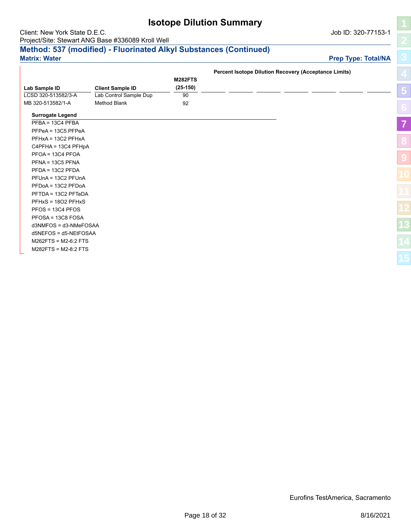|                               |                                                                   | <b>Isotope Dilution Summary</b> |                                                              |                            |
|-------------------------------|-------------------------------------------------------------------|---------------------------------|--------------------------------------------------------------|----------------------------|
| Client: New York State D.E.C. |                                                                   |                                 |                                                              | Job ID: 320-77153-1        |
|                               | Project/Site: Stewart ANG Base #336089 Kroll Well                 |                                 |                                                              |                            |
|                               | Method: 537 (modified) - Fluorinated Alkyl Substances (Continued) |                                 |                                                              |                            |
| <b>Matrix: Water</b>          |                                                                   |                                 |                                                              | <b>Prep Type: Total/NA</b> |
|                               |                                                                   |                                 |                                                              |                            |
|                               |                                                                   |                                 | <b>Percent Isotope Dilution Recovery (Acceptance Limits)</b> |                            |
|                               |                                                                   | <b>M282FTS</b>                  |                                                              |                            |
| Lab Sample ID                 | <b>Client Sample ID</b>                                           | $(25-150)$                      |                                                              |                            |
| LCSD 320-513582/3-A           | Lab Control Sample Dup                                            | 90                              |                                                              |                            |
| MB 320-513582/1-A             | Method Blank                                                      | 92                              |                                                              |                            |
| <b>Surrogate Legend</b>       |                                                                   |                                 |                                                              |                            |
| $PFBA = 13C4$ PFBA            |                                                                   |                                 |                                                              |                            |
| PFPeA = 13C5 PFPeA            |                                                                   |                                 |                                                              |                            |
| PFHxA = 13C2 PFHxA            |                                                                   |                                 |                                                              |                            |
| $C4$ PFHA = 13C4 PFHpA        |                                                                   |                                 |                                                              |                            |
| $PFOA = 13C4$ PFOA            |                                                                   |                                 |                                                              |                            |
| $PENA = 13C5 PENA$            |                                                                   |                                 |                                                              |                            |
| $PFDA = 13C2$ PFDA            |                                                                   |                                 |                                                              |                            |
| PFUnA = 13C2 PFUnA            |                                                                   |                                 |                                                              |                            |
| PFDoA = 13C2 PFDoA            |                                                                   |                                 |                                                              |                            |
| PFTDA = 13C2 PFTeDA           |                                                                   |                                 |                                                              |                            |
| PFHxS = 1802 PFHxS            |                                                                   |                                 |                                                              |                            |
| $PFOS = 13C4$ PFOS            |                                                                   |                                 |                                                              |                            |
| PFOSA = 13C8 FOSA             |                                                                   |                                 |                                                              |                            |
| d3NMFOS = d3-NMeFOSAA         |                                                                   |                                 |                                                              |                            |
| d5NEFOS = d5-NEtFOSAA         |                                                                   |                                 |                                                              |                            |
| $M262FTS = M2-6:2FTS$         |                                                                   |                                 |                                                              |                            |
| $M282FTS = M2-8:2FTS$         |                                                                   |                                 |                                                              |                            |

**[5](#page-5-0)**

**[7](#page-16-0)**

**[8](#page-18-0)**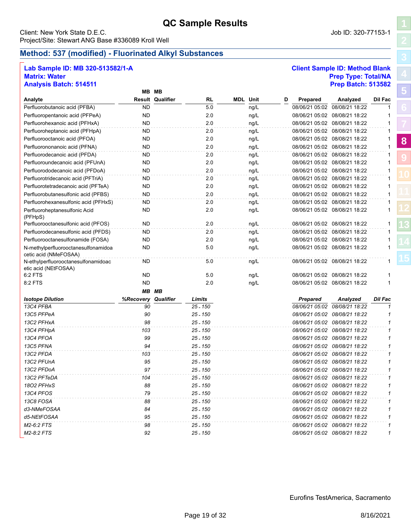### <span id="page-18-0"></span>Client: New York State D.E.C. Job ID: 320-77153-1 Project/Site: Stewart ANG Base #336089 Kroll Well

### **Lab Sample ID: MB 320-513582/1-A Client Sample ID: Method Blank Matrix: Water Prep Type: Total/NA Analysis Batch: 514511 Prep Batch: 513582**

|                                                              |           | MB MB                   |            |                 |   |                 |                               |                |
|--------------------------------------------------------------|-----------|-------------------------|------------|-----------------|---|-----------------|-------------------------------|----------------|
| Analyte                                                      |           | <b>Result Qualifier</b> | RL         | <b>MDL</b> Unit | D | Prepared        | Analyzed                      | <b>Dil Fac</b> |
| Perfluorobutanoic acid (PFBA)                                | <b>ND</b> |                         | 5.0        | ng/L            |   |                 | 08/06/21 05:02 08/08/21 18:22 | 1              |
| Perfluoropentanoic acid (PFPeA)                              | <b>ND</b> |                         | 2.0        | ng/L            |   |                 | 08/06/21 05:02 08/08/21 18:22 | 1              |
| Perfluorohexanoic acid (PFHxA)                               | <b>ND</b> |                         | 2.0        | ng/L            |   |                 | 08/06/21 05:02 08/08/21 18:22 | 1              |
| Perfluoroheptanoic acid (PFHpA)                              | <b>ND</b> |                         | 2.0        | ng/L            |   |                 | 08/06/21 05:02 08/08/21 18:22 | 1              |
| Perfluorooctanoic acid (PFOA)                                | <b>ND</b> |                         | 2.0        | ng/L            |   |                 | 08/06/21 05:02 08/08/21 18:22 | 1              |
| Perfluorononanoic acid (PFNA)                                | <b>ND</b> |                         | 2.0        | ng/L            |   |                 | 08/06/21 05:02 08/08/21 18:22 | $\mathbf{1}$   |
| Perfluorodecanoic acid (PFDA)                                | ND        |                         | 2.0        | ng/L            |   |                 | 08/06/21 05:02 08/08/21 18:22 | 1              |
| Perfluoroundecanoic acid (PFUnA)                             | <b>ND</b> |                         | 2.0        | ng/L            |   |                 | 08/06/21 05:02 08/08/21 18:22 | 1              |
| Perfluorododecanoic acid (PFDoA)                             | <b>ND</b> |                         | 2.0        | ng/L            |   |                 | 08/06/21 05:02 08/08/21 18:22 | $\mathbf{1}$   |
| Perfluorotridecanoic acid (PFTriA)                           | ND        |                         | 2.0        | ng/L            |   |                 | 08/06/21 05:02 08/08/21 18:22 | 1              |
| Perfluorotetradecanoic acid (PFTeA)                          | ND        |                         | 2.0        | ng/L            |   |                 | 08/06/21 05:02 08/08/21 18:22 | 1              |
| Perfluorobutanesulfonic acid (PFBS)                          | <b>ND</b> |                         | 2.0        | ng/L            |   |                 | 08/06/21 05:02 08/08/21 18:22 | $\mathbf{1}$   |
| Perfluorohexanesulfonic acid (PFHxS)                         | <b>ND</b> |                         | 2.0        | ng/L            |   |                 | 08/06/21 05:02 08/08/21 18:22 | 1              |
| Perfluoroheptanesulfonic Acid<br>(PFHpS)                     | ND        |                         | 2.0        | ng/L            |   |                 | 08/06/21 05:02 08/08/21 18:22 | 1              |
| Perfluorooctanesulfonic acid (PFOS)                          | <b>ND</b> |                         | 2.0        | ng/L            |   |                 | 08/06/21 05:02 08/08/21 18:22 | 1              |
| Perfluorodecanesulfonic acid (PFDS)                          | ND        |                         | 2.0        | ng/L            |   |                 | 08/06/21 05:02 08/08/21 18:22 | 1              |
| Perfluorooctanesulfonamide (FOSA)                            | <b>ND</b> |                         | 2.0        | ng/L            |   |                 | 08/06/21 05:02 08/08/21 18:22 | 1              |
| N-methylperfluorooctanesulfonamidoa<br>cetic acid (NMeFOSAA) | ND        |                         | 5.0        | ng/L            |   |                 | 08/06/21 05:02 08/08/21 18:22 | $\mathbf{1}$   |
| N-ethylperfluorooctanesulfonamidoac<br>etic acid (NEtFOSAA)  | ND        |                         | 5.0        | ng/L            |   |                 | 08/06/21 05:02 08/08/21 18:22 | $\mathbf{1}$   |
| 6:2 FTS                                                      | <b>ND</b> |                         | 5.0        | ng/L            |   |                 | 08/06/21 05:02 08/08/21 18:22 | 1              |
| 8:2 FTS                                                      | <b>ND</b> |                         | 2.0        | ng/L            |   |                 | 08/06/21 05:02 08/08/21 18:22 | $\mathbf{1}$   |
|                                                              |           | <b>MB MB</b>            |            |                 |   |                 |                               |                |
| <b>Isotope Dilution</b>                                      | %Recovery | Qualifier               | Limits     |                 |   | <b>Prepared</b> | Analyzed                      | <b>Dil Fac</b> |
| 13C4 PFBA                                                    | 90        |                         | $25 - 150$ |                 |   | 08/06/21 05:02  | 08/08/21 18:22                | $\mathcal I$   |
| 13C5 PFPeA                                                   | 90        |                         | $25 - 150$ |                 |   |                 | 08/06/21 05:02 08/08/21 18:22 | 1              |
| 13C2 PFHxA                                                   | 98        |                         | $25 - 150$ |                 |   |                 | 08/06/21 05:02 08/08/21 18:22 | 1              |
| 13C4 PFHpA                                                   | 103       |                         | $25 - 150$ |                 |   |                 | 08/06/21 05:02 08/08/21 18:22 | 1              |
| 13C4 PFOA                                                    | 99        |                         | $25 - 150$ |                 |   |                 | 08/06/21 05:02 08/08/21 18:22 | $\mathbf{1}$   |
| 13C5 PFNA                                                    | 94        |                         | $25 - 150$ |                 |   |                 | 08/06/21 05:02 08/08/21 18:22 | 1              |
| 13C2 PFDA                                                    | 103       |                         | $25 - 150$ |                 |   |                 | 08/06/21 05:02 08/08/21 18:22 | 1              |
| 13C2 PFUnA                                                   | 95        |                         | $25 - 150$ |                 |   |                 | 08/06/21 05:02 08/08/21 18:22 | $\mathbf{1}$   |
| 13C2 PFDoA                                                   | 97        |                         | $25 - 150$ |                 |   |                 | 08/06/21 05:02 08/08/21 18:22 | 1              |
| 13C2 PFTeDA                                                  | 104       |                         | $25 - 150$ |                 |   |                 | 08/06/21 05:02 08/08/21 18:22 | 1              |
| 1802 PFHxS                                                   | 88        |                         | $25 - 150$ |                 |   |                 | 08/06/21 05:02 08/08/21 18:22 | 1              |
| 13C4 PFOS                                                    | 79        |                         | $25 - 150$ |                 |   |                 | 08/06/21 05:02 08/08/21 18:22 | $\mathcal I$   |
| 13C8 FOSA                                                    | 88        |                         | $25 - 150$ |                 |   |                 | 08/06/21 05:02 08/08/21 18:22 | 1              |
| d3-NMeFOSAA                                                  | 84        |                         | $25 - 150$ |                 |   |                 | 08/06/21 05:02 08/08/21 18:22 | $\mathbf 1$    |
| d5-NEtFOSAA                                                  | 95        |                         | $25 - 150$ |                 |   |                 | 08/06/21 05:02 08/08/21 18:22 | 1              |
| M2-6:2 FTS                                                   | 98        |                         | $25 - 150$ |                 |   |                 | 08/06/21 05:02 08/08/21 18:22 | 1              |
| M2-8:2 FTS                                                   | 92        |                         | $25 - 150$ |                 |   |                 | 08/06/21 05:02 08/08/21 18:22 | $\mathbf{1}$   |

**[5](#page-5-0)**

**[8](#page-18-0)**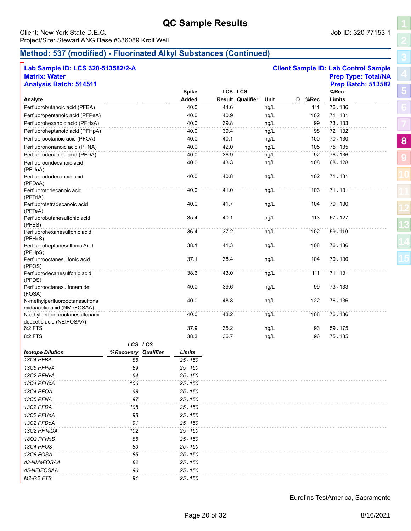### Client: New York State D.E.C. **Community** Client: New York State D.E.C. Project/Site: Stewart ANG Base #336089 Kroll Well

**Client Sample ID: Lab Control Sample** 

# **Method: 537 (modified) - Fluorinated Alkyl Substances (Continued)**

| Lab Sample ID: LCS 320-513582/2-A |  |
|-----------------------------------|--|
| <b>Matrix: Water</b>              |  |

| <b>Matrix: Water</b>                    |                     |         |              |      |                         |      |   |      | <b>Prep Type: Total/NA</b> |
|-----------------------------------------|---------------------|---------|--------------|------|-------------------------|------|---|------|----------------------------|
| <b>Analysis Batch: 514511</b>           |                     |         |              |      |                         |      |   |      | <b>Prep Batch: 513582</b>  |
|                                         |                     |         | <b>Spike</b> |      | LCS LCS                 |      |   |      | %Rec.                      |
| Analyte                                 |                     |         | Added        |      | <b>Result Qualifier</b> | Unit | D | %Rec | Limits                     |
| Perfluorobutanoic acid (PFBA)           |                     |         | 40.0         | 44.6 |                         | ng/L |   | 111  | 76 - 136                   |
| Perfluoropentanoic acid (PFPeA)         |                     |         | 40.0         | 40.9 |                         | ng/L |   | 102  | 71.131                     |
| Perfluorohexanoic acid (PFHxA)          |                     |         | 40.0         | 39.8 |                         | ng/L |   | 99   | 73.133                     |
| Perfluoroheptanoic acid (PFHpA)         |                     |         | 40.0         | 39.4 |                         | ng/L |   | 98   | 72.132                     |
| Perfluorooctanoic acid (PFOA)           |                     |         | 40.0         | 40.1 |                         | ng/L |   | 100  | 70 - 130                   |
| Perfluorononanoic acid (PFNA)           |                     |         | 40.0         | 42.0 |                         | ng/L |   | 105  | 75 - 135                   |
| Perfluorodecanoic acid (PFDA)           |                     |         | 40.0         | 36.9 |                         | ng/L |   | 92   | 76 - 136                   |
| Perfluoroundecanoic acid                |                     |         | 40.0         | 43.3 |                         | ng/L |   | 108  | 68 - 128                   |
| (PFUnA)                                 |                     |         |              |      |                         |      |   |      |                            |
| Perfluorododecanoic acid                |                     |         | 40.0         | 40.8 |                         | ng/L |   | 102  | 71.131                     |
| (PFDoA)                                 |                     |         |              |      |                         |      |   |      |                            |
| Perfluorotridecanoic acid               |                     |         | 40.0         | 41.0 |                         | ng/L |   | 103  | 71.131                     |
| (PFTriA)<br>Perfluorotetradecanoic acid |                     |         | 40.0         | 41.7 |                         | ng/L |   | 104  | 70 - 130                   |
| (PFTeA)                                 |                     |         |              |      |                         |      |   |      |                            |
| Perfluorobutanesulfonic acid            |                     |         | 35.4         | 40.1 |                         | ng/L |   | 113  | 67.127                     |
| (PFBS)                                  |                     |         |              |      |                         |      |   |      |                            |
| Perfluorohexanesulfonic acid            |                     |         | 36.4         | 37.2 |                         | ng/L |   | 102  | 59.119                     |
| (PFHxS)                                 |                     |         |              |      |                         |      |   |      |                            |
| Perfluoroheptanesulfonic Acid           |                     |         | 38.1         | 41.3 |                         | ng/L |   | 108  | 76 - 136                   |
| (PFHpS)                                 |                     |         |              |      |                         |      |   |      |                            |
| Perfluorooctanesulfonic acid            |                     |         | 37.1         | 38.4 |                         | ng/L |   | 104  | 70 - 130                   |
| (PFOS)<br>Perfluorodecanesulfonic acid  |                     |         | 38.6         | 43.0 |                         | ng/L |   | 111  | 71.131                     |
| (PFDS)                                  |                     |         |              |      |                         |      |   |      |                            |
| Perfluorooctanesulfonamide              |                     |         | 40.0         | 39.6 |                         | ng/L |   | 99   | 73 - 133                   |
| (FOSA)                                  |                     |         |              |      |                         |      |   |      |                            |
| N-methylperfluorooctanesulfona          |                     |         | 40.0         | 48.8 |                         | ng/L |   | 122  | 76 - 136                   |
| midoacetic acid (NMeFOSAA)              |                     |         |              |      |                         |      |   |      |                            |
| N-ethylperfluorooctanesulfonami         |                     |         | 40.0         | 43.2 |                         | ng/L |   | 108  | 76 - 136                   |
| doacetic acid (NEtFOSAA)                |                     |         | 37.9         |      |                         |      |   |      |                            |
| 6:2 FTS                                 |                     |         |              | 35.2 |                         | ng/L |   | 93   | 59 - 175                   |
| 8:2 FTS                                 |                     |         | 38.3         | 36.7 |                         | ng/L |   | 96   | 75.135                     |
|                                         |                     | LCS LCS |              |      |                         |      |   |      |                            |
| <b>Isotope Dilution</b>                 | %Recovery Qualifier |         | Limits       |      |                         |      |   |      |                            |
| 13C4 PFBA                               | 86                  |         | $25 - 150$   |      |                         |      |   |      |                            |
| 13C5 PFPeA                              | 89                  |         | $25 - 150$   |      |                         |      |   |      |                            |
| 13C2 PFHxA                              | 94                  |         | 25 - 150     |      |                         |      |   |      |                            |
| 13C4 PFHpA                              | 106                 |         | 25 - 150     |      |                         |      |   |      |                            |
| 13C4 PFOA                               | 98                  |         | $25 - 150$   |      |                         |      |   |      |                            |
| 13C5 PFNA                               | 97                  |         | $25 - 150$   |      |                         |      |   |      |                            |
| 13C2 PFDA                               | 105                 |         | $25 - 150$   |      |                         |      |   |      |                            |
| 13C2 PFUnA                              | 98                  |         | $25 - 150$   |      |                         |      |   |      |                            |
| 13C2 PFDoA                              | 91                  |         | $25 - 150$   |      |                         |      |   |      |                            |
| 13C2 PFTeDA                             | 102                 |         | $25 - 150$   |      |                         |      |   |      |                            |
| 1802 PFHxS                              | 86                  |         | $25 - 150$   |      |                         |      |   |      |                            |
| 13C4 PFOS                               | 83                  |         | $25 - 150$   |      |                         |      |   |      |                            |
| 13C8 FOSA                               | 85                  |         | $25 - 150$   |      |                         |      |   |      |                            |
| d3-NMeFOSAA                             | 82                  |         | $25 - 150$   |      |                         |      |   |      |                            |
| d5-NEtFOSAA                             | 90                  |         | $25 - 150$   |      |                         |      |   |      |                            |
| M2-6:2 FTS                              | 91                  |         | $25 - 150$   |      |                         |      |   |      |                            |

**[5](#page-5-0)**

**[8](#page-18-0)**

**[9](#page-24-0)**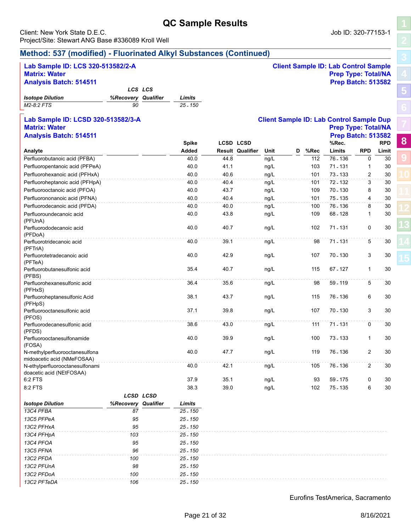**QC Sample Results** Client: New York State D.E.C. Job ID: 320-77153-1 Project/Site: Stewart ANG Base #336089 Kroll Well

# **Method: 537 (modified) - Fluorinated Alkyl Substances (Continued)**

| <b>Analysis Batch: 514511</b>                                |                     |              |      |                         |      |   |      | <b>Prep Batch: 513582</b>                       |             |            |
|--------------------------------------------------------------|---------------------|--------------|------|-------------------------|------|---|------|-------------------------------------------------|-------------|------------|
|                                                              | LCS LCS             |              |      |                         |      |   |      |                                                 |             |            |
| <b>Isotope Dilution</b>                                      | %Recovery Qualifier | Limits       |      |                         |      |   |      |                                                 |             |            |
| M2-8:2 FTS                                                   | 90                  | $25 - 150$   |      |                         |      |   |      |                                                 |             |            |
| Lab Sample ID: LCSD 320-513582/3-A                           |                     |              |      |                         |      |   |      | <b>Client Sample ID: Lab Control Sample Dup</b> |             |            |
| <b>Matrix: Water</b>                                         |                     |              |      |                         |      |   |      | <b>Prep Type: Total/NA</b>                      |             |            |
| <b>Analysis Batch: 514511</b>                                |                     |              |      |                         |      |   |      | <b>Prep Batch: 513582</b>                       |             |            |
|                                                              |                     | <b>Spike</b> |      | <b>LCSD LCSD</b>        |      |   |      | %Rec.                                           |             | <b>RPD</b> |
| Analyte                                                      |                     | Added        |      | <b>Result Qualifier</b> | Unit | D | %Rec | Limits                                          | <b>RPD</b>  | Limit      |
| Perfluorobutanoic acid (PFBA)                                |                     | 40.0         | 44.8 |                         | ng/L |   | 112  | 76 - 136                                        | $\mathbf 0$ | 30         |
| Perfluoropentanoic acid (PFPeA)                              |                     | 40.0         | 41.1 |                         | ng/L |   | 103  | 71.131                                          | 1           | 30         |
| Perfluorohexanoic acid (PFHxA)                               |                     | 40.0         | 40.6 |                         | ng/L |   | 101  | 73.133                                          | 2           | 30         |
| Perfluoroheptanoic acid (PFHpA)                              |                     | 40.0         | 40.4 |                         | ng/L |   | 101  | 72.132                                          | 3           | 30         |
| Perfluorooctanoic acid (PFOA)                                |                     | 40.0         | 43.7 |                         | ng/L |   | 109  | 70.130                                          | 8           | 30         |
| Perfluorononanoic acid (PFNA)                                |                     | 40.0         | 40.4 |                         | ng/L |   | 101  | 75 - 135                                        | 4           | 30         |
| Perfluorodecanoic acid (PFDA)                                |                     | 40.0         | 40.0 |                         | ng/L |   | 100  | 76.136                                          | 8           | 30         |
| Perfluoroundecanoic acid                                     |                     | 40.0         | 43.8 |                         | ng/L |   | 109  | 68.128                                          | 1           | 30         |
| (PFUnA)                                                      |                     |              |      |                         |      |   |      |                                                 |             |            |
| Perfluorododecanoic acid<br>(PFDoA)                          |                     | 40.0         | 40.7 |                         | ng/L |   | 102  | 71 - 131                                        | 0           | 30         |
| Perfluorotridecanoic acid<br>(PFTriA)                        |                     | 40.0         | 39.1 |                         | ng/L |   | 98   | 71 - 131                                        | 5           | 30         |
| Perfluorotetradecanoic acid<br>(PFTeA)                       |                     | 40.0         | 42.9 |                         | ng/L |   | 107  | 70 - 130                                        | 3           | 30         |
| Perfluorobutanesulfonic acid<br>(PFBS)                       |                     | 35.4         | 40.7 |                         | ng/L |   | 115  | 67 - 127                                        | 1           | 30         |
| Perfluorohexanesulfonic acid                                 |                     | 36.4         | 35.6 |                         | ng/L |   | 98   | 59.119                                          | 5           | 30         |
| (PFHxS)<br>Perfluoroheptanesulfonic Acid                     |                     | 38.1         | 43.7 |                         | ng/L |   | 115  | 76 - 136                                        | 6           | 30         |
| (PFHpS)<br>Perfluorooctanesulfonic acid                      |                     | 37.1         | 39.8 |                         | ng/L |   | 107  | 70 - 130                                        | 3           | 30         |
| (PFOS)<br>Perfluorodecanesulfonic acid                       |                     | 38.6         | 43.0 |                         | ng/L |   | 111  | 71 - 131                                        | 0           | 30         |
| (PFDS)                                                       |                     |              |      |                         |      |   |      |                                                 |             |            |
| Perfluorooctanesulfonamide<br>(FOSA)                         |                     | 40.0         | 39.9 |                         | ng/L |   | 100  | 73 - 133                                        | 1           | 30         |
| N-methylperfluorooctanesulfona<br>midoacetic acid (NMeFOSAA) |                     | 40.0         | 47.7 |                         | ng/L |   | 119  | 76 - 136                                        | 2           | 30         |
| N-ethylperfluorooctanesulfonami                              |                     | 40.0         | 42.1 |                         | ng/L |   | 105  | 76 - 136                                        | 2           | 30         |
| doacetic acid (NEtFOSAA)                                     |                     |              |      |                         |      |   |      |                                                 |             |            |
| 6:2 FTS                                                      |                     | 37.9         | 35.1 |                         | ng/L |   | 93   | 59 - 175                                        | 0           | 30         |
| 8:2 FTS                                                      |                     | 38.3         | 39.0 |                         | ng/L |   | 102  | 75.135                                          | 6           | 30         |
|                                                              | LCSD LCSD           |              |      |                         |      |   |      |                                                 |             |            |
| <b>Isotope Dilution</b>                                      | %Recovery Qualifier | Limits       |      |                         |      |   |      |                                                 |             |            |
| 13C4 PFBA                                                    | 87                  | $25 - 150$   |      |                         |      |   |      |                                                 |             |            |
| 13C5 PFPeA                                                   | 95                  | $25 - 150$   |      |                         |      |   |      |                                                 |             |            |
| 13C2 PFHxA                                                   | 95                  | $25 - 150$   |      |                         |      |   |      |                                                 |             |            |
| 13C4 PFHpA                                                   | 103                 | 25 - 150     |      |                         |      |   |      |                                                 |             |            |
| 13C4 PFOA                                                    | 95                  | $25 - 150$   |      |                         |      |   |      |                                                 |             |            |
| 13C5 PFNA                                                    | 96                  | $25 - 150$   |      |                         |      |   |      |                                                 |             |            |
| 13C2 PFDA                                                    | 100                 | 25 - 150     |      |                         |      |   |      |                                                 |             |            |
| 13C2 PFUnA                                                   | 98                  | 25 - 150     |      |                         |      |   |      |                                                 |             |            |
| 13C2 PFDoA                                                   | 100                 | $25 - 150$   |      |                         |      |   |      |                                                 |             |            |
| 13C2 PFTeDA                                                  | 106                 | $25 - 150$   |      |                         |      |   |      |                                                 |             |            |

**Lab Sample ID: LCS 320-513582/2-A Client Sample ID: Lab Control Sample Matrix: Water Prep Type: Total/NA** 

**[5](#page-5-0)**

**[8](#page-18-0)**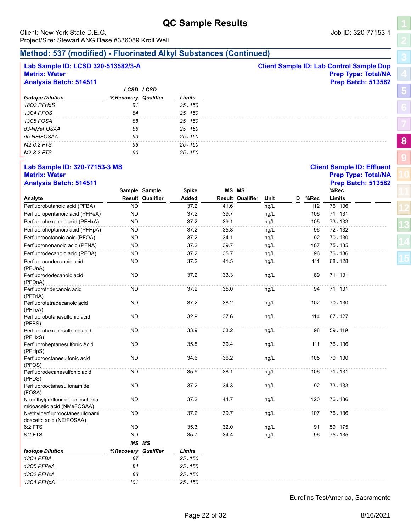**[5](#page-5-0)**

**[8](#page-18-0)**

**[9](#page-24-0)**

| Lab Sample ID: LCSD 320-513582/3-A<br><b>Matrix: Water</b><br><b>Analysis Batch: 514511</b> |                     |                         |              |      |                         |      |   |      | <b>Client Sample ID: Lab Control Sample Dup</b><br><b>Prep Type: Total/NA</b><br><b>Prep Batch: 513582</b> |  |
|---------------------------------------------------------------------------------------------|---------------------|-------------------------|--------------|------|-------------------------|------|---|------|------------------------------------------------------------------------------------------------------------|--|
|                                                                                             |                     | <b>LCSD LCSD</b>        |              |      |                         |      |   |      |                                                                                                            |  |
| <b>Isotope Dilution</b>                                                                     | %Recovery Qualifier |                         | Limits       |      |                         |      |   |      |                                                                                                            |  |
| 1802 PFHxS                                                                                  | 91                  |                         | $25 - 150$   |      |                         |      |   |      |                                                                                                            |  |
| 13C4 PFOS                                                                                   | 84                  |                         | $25 - 150$   |      |                         |      |   |      |                                                                                                            |  |
| 13C8 FOSA                                                                                   | 88                  |                         | $25 - 150$   |      |                         |      |   |      |                                                                                                            |  |
| d3-NMeFOSAA                                                                                 | 86                  |                         | $25 - 150$   |      |                         |      |   |      |                                                                                                            |  |
| d5-NEtFOSAA                                                                                 | 93                  |                         | $25 - 150$   |      |                         |      |   |      |                                                                                                            |  |
| M2-6:2 FTS                                                                                  | 96                  |                         | $25 - 150$   |      |                         |      |   |      |                                                                                                            |  |
| M2-8:2 FTS                                                                                  | 90                  |                         | $25 - 150$   |      |                         |      |   |      |                                                                                                            |  |
| Lab Sample ID: 320-77153-3 MS<br><b>Matrix: Water</b>                                       |                     |                         |              |      |                         |      |   |      | <b>Client Sample ID: Effluent</b><br><b>Prep Type: Total/NA</b>                                            |  |
| <b>Analysis Batch: 514511</b>                                                               |                     |                         |              |      |                         |      |   |      | <b>Prep Batch: 513582</b>                                                                                  |  |
|                                                                                             |                     | Sample Sample           | <b>Spike</b> |      | MS MS                   |      |   |      | %Rec.                                                                                                      |  |
| Analyte                                                                                     |                     | <b>Result Qualifier</b> | Added        |      | <b>Result Qualifier</b> | Unit | D | %Rec | Limits                                                                                                     |  |
| Perfluorobutanoic acid (PFBA)                                                               | ND.                 |                         | 37.2         | 41.6 |                         | ng/L |   | 112  | 76 - 136                                                                                                   |  |
| Perfluoropentanoic acid (PFPeA)                                                             | ND.                 |                         | 37.2         | 39.7 |                         | ng/L |   | 106  | 71 - 131                                                                                                   |  |
| Perfluorohexanoic acid (PFHxA)                                                              | <b>ND</b>           |                         | 37.2         | 39.1 |                         | ng/L |   | 105  | 73 - 133                                                                                                   |  |
| Perfluoroheptanoic acid (PFHpA)                                                             | ND.                 |                         | 37.2         | 35.8 |                         | ng/L |   | 96   | 72.132                                                                                                     |  |
| Perfluorooctanoic acid (PFOA)                                                               | <b>ND</b>           |                         | 37.2         | 34.1 |                         | ng/L |   | 92   | 70 - 130                                                                                                   |  |
| Perfluorononanoic acid (PFNA)                                                               | <b>ND</b>           |                         | 37.2         | 39.7 |                         | ng/L |   | 107  | 75.135                                                                                                     |  |
| Perfluorodecanoic acid (PFDA)                                                               | ND.                 |                         | 37.2         | 35.7 |                         | ng/L |   | 96   | 76 - 136                                                                                                   |  |
| Perfluoroundecanoic acid<br>(PFUnA)                                                         | ND.                 |                         | 37.2         | 41.5 |                         | ng/L |   | 111  | 68 - 128                                                                                                   |  |
| Perfluorododecanoic acid<br>(PFDoA)                                                         | ND.                 |                         | 37.2         | 33.3 |                         | ng/L |   | 89   | 71.131                                                                                                     |  |
| Perfluorotridecanoic acid<br>(PFTriA)                                                       | <b>ND</b>           |                         | 37.2         | 35.0 |                         | ng/L |   | 94   | 71.131                                                                                                     |  |
| Perfluorotetradecanoic acid<br>(PFTeA)                                                      | <b>ND</b>           |                         | 37.2         | 38.2 |                         | ng/L |   | 102  | 70 - 130                                                                                                   |  |
| Perfluorobutanesulfonic acid<br>(PFBS)                                                      | ND.                 |                         | 32.9         | 37.6 |                         | ng/L |   | 114  | 67 - 127                                                                                                   |  |
| Perfluorohexanesulfonic acid<br>(PFHxS)                                                     | ND.                 |                         | 33.9         | 33.2 |                         | ng/L |   | 98   | 59 - 119                                                                                                   |  |
| Perfluoroheptanesulfonic Acid<br>(PFHpS)                                                    | ND.                 |                         | 35.5         | 39.4 |                         | ng/L |   | 111  | 76 - 136                                                                                                   |  |
| Perfluorooctanesulfonic acid<br>(PFOS)                                                      | <b>ND</b>           |                         | 34.6         | 36.2 |                         | ng/L |   | 105  | 70.130                                                                                                     |  |
| Perfluorodecanesulfonic acid<br>(PFDS)                                                      | <b>ND</b>           |                         | 35.9         | 38.1 |                         | ng/L |   | 106  | 71 - 131                                                                                                   |  |
| Perfluorooctanesulfonamide<br>(FOSA)                                                        | <b>ND</b>           |                         | 37.2         | 34.3 |                         | ng/L |   | 92   | 73.133                                                                                                     |  |
| N-methylperfluorooctanesulfona<br>midoacetic acid (NMeFOSAA)                                | <b>ND</b>           |                         | 37.2         | 44.7 |                         | ng/L |   | 120  | 76 - 136                                                                                                   |  |
| N-ethylperfluorooctanesulfonami<br>doacetic acid (NEtFOSAA)                                 | <b>ND</b>           |                         | 37.2         | 39.7 |                         | ng/L |   | 107  | 76 - 136                                                                                                   |  |
| 6:2 FTS                                                                                     | <b>ND</b>           |                         | 35.3         | 32.0 |                         | ng/L |   | 91   | 59.175                                                                                                     |  |
| 8:2 FTS                                                                                     | <b>ND</b>           |                         | 35.7         | 34.4 |                         | ng/L |   | 96   | 75.135                                                                                                     |  |
|                                                                                             |                     | MS MS                   |              |      |                         |      |   |      |                                                                                                            |  |
| <b>Isotope Dilution</b>                                                                     | %Recovery Qualifier |                         | Limits       |      |                         |      |   |      |                                                                                                            |  |
| 13C4 PFBA                                                                                   | 87                  |                         | 25.150       |      |                         |      |   |      |                                                                                                            |  |
| 13C5 PFPeA                                                                                  | 84                  |                         | $25 - 150$   |      |                         |      |   |      |                                                                                                            |  |
| 13C2 PFHxA                                                                                  | 88                  |                         | $25 - 150$   |      |                         |      |   |      |                                                                                                            |  |

Eurofins TestAmerica, Sacramento

*13C4 PFHpA 101 25 - 150*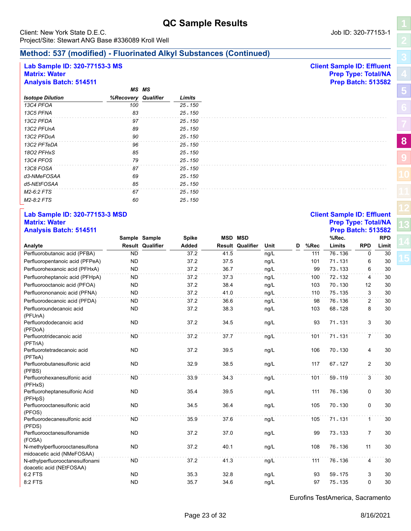# **Method: 537 (modified) - Fluorinated Alkyl Substances (Continued)**

# **Lab Sample ID: 320-77153-3 MS Client Sample ID: Effluent**

### **Matrix: Water Prep Type: Total/NA Analysis Batch: 514511 Prep Batch: 513582**

|                         |                     | <b>MS MS</b> |            |
|-------------------------|---------------------|--------------|------------|
| <b>Isotope Dilution</b> | %Recovery Qualifier |              | Limits     |
| 13C4 PFOA               | 100                 |              | 25 - 150   |
| 13C5 PFNA               | 83                  |              | 25 - 150   |
| 13C2 PFDA               | 97                  |              | 25 - 150   |
| 13C2 PFUnA              | 89                  |              | 25 - 150   |
| 13C2 PFDoA              | 90                  |              | $25 - 150$ |
| 13C2 PFTeDA             | 96                  |              | 25 - 150   |
| 1802 PFHxS              | 85                  |              | $25 - 150$ |
| 13C4 PFOS               | 79                  |              | 25 - 150   |
| 13C8 FOSA               | 87                  |              | 25 - 150   |
| d3-NMeFOSAA             | 69                  |              | 25 - 150   |
| d5-NEtFOSAA             | 85                  |              | 25 - 150   |
| M2-6:2 FTS              | 67                  |              | $25 - 150$ |
| M2-8:2 FTS              | 60                  |              | 25 - 150   |

### **Lab Sample ID: 320-77153-3 MSD Client Sample ID: Effluent Matrix: Water Prep Type: Total/NA Analysis Batch: 514511 Prep Batch: 513582**

| Andiyələ Datvin Vifori                                       |           | Sample Sample           | <b>Spike</b> |      | <b>MSD MSD</b>          |      |   |      | $115P$ Daton, 010004<br>%Rec. |                | <b>RPD</b> |
|--------------------------------------------------------------|-----------|-------------------------|--------------|------|-------------------------|------|---|------|-------------------------------|----------------|------------|
| Analyte                                                      |           | <b>Result Qualifier</b> | Added        |      | <b>Result Qualifier</b> | Unit | D | %Rec | Limits                        | <b>RPD</b>     | Limit      |
| Perfluorobutanoic acid (PFBA)                                | <b>ND</b> |                         | 37.2         | 41.5 |                         | ng/L |   | 111  | 76 - 136                      | 0              | 30         |
| Perfluoropentanoic acid (PFPeA)                              | <b>ND</b> |                         | 37.2         | 37.5 |                         | ng/L |   | 101  | $71 - 131$                    | 6              | 30         |
| Perfluorohexanoic acid (PFHxA)                               | <b>ND</b> |                         | 37.2         | 36.7 |                         | ng/L |   | 99   | 73 - 133                      | 6              | 30         |
| Perfluoroheptanoic acid (PFHpA)                              | <b>ND</b> |                         | 37.2         | 37.3 |                         | ng/L |   | 100  | 72 - 132                      | 4              | 30         |
| Perfluorooctanoic acid (PFOA)                                | <b>ND</b> |                         | 37.2         | 38.4 |                         | ng/L |   | 103  | $70 - 130$                    | 12             | 30         |
| Perfluorononanoic acid (PFNA)                                | <b>ND</b> |                         | 37.2         | 41.0 |                         | ng/L |   | 110  | 75 - 135                      | 3              | 30         |
| Perfluorodecanoic acid (PFDA)                                | <b>ND</b> |                         | 37.2         | 36.6 |                         | ng/L |   | 98   | 76 - 136                      | 2              | 30         |
| Perfluoroundecanoic acid<br>(PFUnA)                          | <b>ND</b> |                         | 37.2         | 38.3 |                         | ng/L |   | 103  | 68 - 128                      | 8              | 30         |
| Perfluorododecanoic acid<br>(PFDoA)                          | <b>ND</b> |                         | 37.2         | 34.5 |                         | ng/L |   | 93   | 71 - 131                      | 3              | 30         |
| Perfluorotridecanoic acid<br>(PFTriA)                        | <b>ND</b> |                         | 37.2         | 37.7 |                         | ng/L |   | 101  | 71 - 131                      | $\overline{7}$ | 30         |
| Perfluorotetradecanoic acid<br>(PFTeA)                       | <b>ND</b> |                         | 37.2         | 39.5 |                         | ng/L |   | 106  | 70 - 130                      | 4              | 30         |
| Perfluorobutanesulfonic acid<br>(PFBS)                       | <b>ND</b> |                         | 32.9         | 38.5 |                         | ng/L |   | 117  | 67 - 127                      | $\overline{2}$ | 30         |
| Perfluorohexanesulfonic acid<br>(PFHxS)                      | <b>ND</b> |                         | 33.9         | 34.3 |                         | ng/L |   | 101  | 59 - 119                      | 3              | 30         |
| Perfluoroheptanesulfonic Acid<br>(PFHpS)                     | <b>ND</b> |                         | 35.4         | 39.5 |                         | ng/L |   | 111  | 76 - 136                      | 0              | 30         |
| Perfluorooctanesulfonic acid<br>(PFOS)                       | <b>ND</b> |                         | 34.5         | 36.4 |                         | ng/L |   | 105  | 70 - 130                      | 0              | 30         |
| Perfluorodecanesulfonic acid<br>(PFDS)                       | <b>ND</b> |                         | 35.9         | 37.6 |                         | ng/L |   | 105  | $71 - 131$                    | $\mathbf{1}$   | 30         |
| Perfluorooctanesulfonamide<br>(FOSA)                         | <b>ND</b> |                         | 37.2         | 37.0 |                         | ng/L |   | 99   | 73 - 133                      | $\overline{7}$ | 30         |
| N-methylperfluorooctanesulfona<br>midoacetic acid (NMeFOSAA) | <b>ND</b> |                         | 37.2         | 40.1 |                         | ng/L |   | 108  | 76 - 136                      | 11             | 30         |
| N-ethylperfluorooctanesulfonami<br>doacetic acid (NEtFOSAA)  | <b>ND</b> |                         | 37.2         | 41.3 |                         | ng/L |   | 111  | 76 - 136                      | 4              | 30         |
| 6:2 FTS                                                      | <b>ND</b> |                         | 35.3         | 32.8 |                         | ng/L |   | 93   | 59 - 175                      | 3              | 30         |
| 8:2 FTS                                                      | <b>ND</b> |                         | 35.7         | 34.6 |                         | ng/L |   | 97   | $75 - 135$                    | 0              | 30         |

Eurofins TestAmerica, Sacramento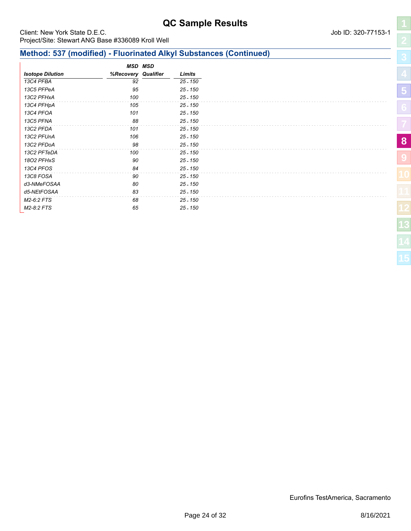### Client: New York State D.E.C. **Community** Client: New York State D.E.C. Project/Site: Stewart ANG Base #336089 Kroll Well

# **Method: 537 (modified) - Fluorinated Alkyl Substances (Continued)**

|                         |                     | <b>MSD MSD</b> |            |
|-------------------------|---------------------|----------------|------------|
| <b>Isotope Dilution</b> | %Recovery Qualifier |                | Limits     |
| 13C4 PFBA               | 92                  |                | $25 - 150$ |
| 13C5 PFPeA              | 95                  |                | $25 - 150$ |
| 13C2 PFHxA              | 100                 |                | $25 - 150$ |
| 13C4 PFHpA              | 105                 |                | 25 - 150   |
| 13C4 PFOA               | 101                 |                | $25 - 150$ |
| 13C5 PFNA               | 88                  |                | $25 - 150$ |
| 13C2 PFDA               | 101                 |                | 25 - 150   |
| 13C2 PFUnA              | 106                 |                | $25 - 150$ |
| 13C2 PFDoA              | 98                  |                | $25 - 150$ |
| 13C2 PFTeDA             | 100                 |                | $25 - 150$ |
| 1802 PFHxS              | 90                  |                | $25 - 150$ |
| 13C4 PFOS               | 84                  |                | $25 - 150$ |
| 13C8 FOSA               | 90                  |                | 25 - 150   |
| d3-NMeFOSAA             | 80                  |                | $25 - 150$ |
| d5-NEtFOSAA             | 83                  |                | $25 - 150$ |
| M2-6:2 FTS              | 68                  |                | 25 - 150   |
| M2-8:2 FTS              | 65                  |                | $25 - 150$ |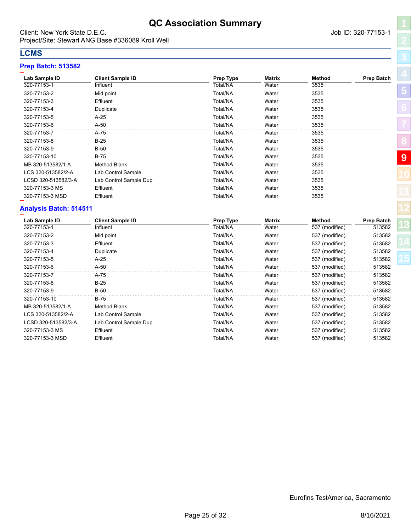# **QC Association Summary**

<span id="page-24-0"></span>Client: New York State D.E.C. **Community** Client: New York State D.E.C. Project/Site: Stewart ANG Base #336089 Kroll Well

# **LCMS**

## **Prep Batch: 513582**

| Lab Sample ID       | <b>Client Sample ID</b> | Prep Type | <b>Matrix</b> | Method | <b>Prep Batch</b> |
|---------------------|-------------------------|-----------|---------------|--------|-------------------|
| 320-77153-1         | Influent                | Total/NA  | Water         | 3535   |                   |
| 320-77153-2         | Mid point               | Total/NA  | Water         | 3535   |                   |
| 320-77153-3         | Effluent                | Total/NA  | Water         | 3535   |                   |
| 320-77153-4         | Duplicate               | Total/NA  | Water         | 3535   |                   |
| 320-77153-5         | $A-25$                  | Total/NA  | Water         | 3535   |                   |
| 320-77153-6         | $A-50$                  | Total/NA  | Water         | 3535   |                   |
| 320-77153-7         | A-75                    | Total/NA  | Water         | 3535   |                   |
| 320-77153-8         | $B-25$                  | Total/NA  | Water         | 3535   |                   |
| 320-77153-9         | $B-50$                  | Total/NA  | Water         | 3535   |                   |
| 320-77153-10        | <b>B-75</b>             | Total/NA  | Water         | 3535   |                   |
| MB 320-513582/1-A   | <b>Method Blank</b>     | Total/NA  | Water         | 3535   |                   |
| LCS 320-513582/2-A  | Lab Control Sample      | Total/NA  | Water         | 3535   |                   |
| LCSD 320-513582/3-A | Lab Control Sample Dup  | Total/NA  | Water         | 3535   |                   |
| 320-77153-3 MS      | Effluent                | Total/NA  | Water         | 3535   |                   |
| 320-77153-3 MSD     | Effluent                | Total/NA  | Water         | 3535   |                   |

# **Analysis Batch: 514511**

| Lab Sample ID<br>320-77153-1 | <b>Client Sample ID</b><br>Influent | Prep Type<br>Total/NA | <b>Matrix</b><br>Water | <b>Method</b><br>537 (modified) | <b>Prep Batch</b><br>513582 |
|------------------------------|-------------------------------------|-----------------------|------------------------|---------------------------------|-----------------------------|
| 320-77153-2                  | Mid point                           | Total/NA              | Water                  | 537 (modified)                  | 513582                      |
| 320-77153-3                  | Effluent                            | Total/NA              | Water                  | 537 (modified)                  | 513582                      |
| 320-77153-4                  | Duplicate                           | Total/NA              | Water                  | 537 (modified)                  | 513582                      |
| 320-77153-5                  | $A-25$                              | Total/NA              | Water                  | 537 (modified)                  | 513582                      |
| 320-77153-6                  | $A-50$                              | Total/NA              | Water                  | 537 (modified)                  | 513582                      |
| 320-77153-7                  | A-75                                | Total/NA              | Water                  | 537 (modified)                  | 513582                      |
| 320-77153-8                  | $B-25$                              | Total/NA              | Water                  | 537 (modified)                  | 513582                      |
| 320-77153-9                  | $B-50$                              | Total/NA              | Water                  | 537 (modified)                  | 513582                      |
| 320-77153-10                 | $B-75$                              | Total/NA              | Water                  | 537 (modified)                  | 513582                      |
| MB 320-513582/1-A            | Method Blank                        | Total/NA              | Water                  | 537 (modified)                  | 513582                      |
| LCS 320-513582/2-A           | Lab Control Sample                  | Total/NA              | Water                  | 537 (modified)                  | 513582                      |
| LCSD 320-513582/3-A          | Lab Control Sample Dup              | Total/NA              | Water                  | 537 (modified)                  | 513582                      |
| 320-77153-3 MS               | Effluent                            | Total/NA              | Water                  | 537 (modified)                  | 513582                      |
| 320-77153-3 MSD              | Effluent                            | Total/NA              | Water                  | 537 (modified)                  | 513582                      |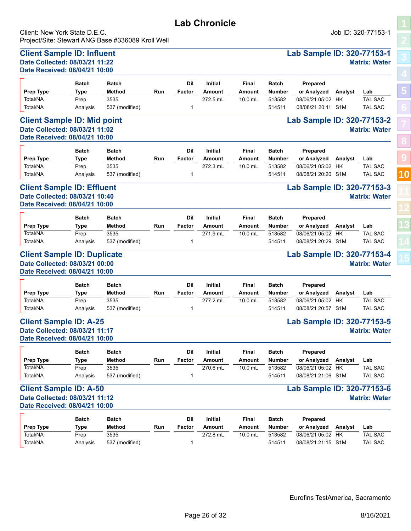<span id="page-25-0"></span>Client: New York State D.E.C. Job ID: 320-77153-1 Project/Site: Stewart ANG Base #336089 Kroll Well

**[5](#page-5-0)**

**[8](#page-18-0)**

**[9](#page-24-0)**

**[10](#page-25-0)**

### **Client Sample ID: Influent Lab Sample ID: 320-77153-1 Date Collected: 08/03/21 11:22 Matrix: Water Date Received: 08/04/21 10:00**  $\overline{ }$ **Batch Batch**

|                                    | <b>Batch</b> | <b>Batch</b>   |     | Dil    | <b>Initial</b> | Final     | <b>Batch</b>  | <b>Prepared</b>            |         |                      |
|------------------------------------|--------------|----------------|-----|--------|----------------|-----------|---------------|----------------------------|---------|----------------------|
| Prep Type                          | Type         | Method         | Run | Factor | Amount         | Amount    | <b>Number</b> | or Analyzed                | Analyst | Lab                  |
| Total/NA                           | Prep         | 3535           |     |        | 272.5 mL       | $10.0$ mL | 513582        | 08/06/21 05:02 HK          |         | <b>TAL SAC</b>       |
| Total/NA                           | Analysis     | 537 (modified) |     |        |                |           | 514511        | 08/08/21 20:11 S1M         |         | TAL SAC              |
| <b>Client Sample ID: Mid point</b> |              |                |     |        |                |           |               | Lab Sample ID: 320-77153-2 |         |                      |
| Date Collected: 08/03/21 11:02     |              |                |     |        |                |           |               |                            |         | <b>Matrix: Water</b> |

**Lab Chronicle**

**Date Received: 08/04/21 10:00**

|                  | <b>Batch</b> | <b>Batch</b>   |     | Dil    | <b>Initial</b> | Final     | <b>Batch</b> | <b>Prepared</b>    |         |                |
|------------------|--------------|----------------|-----|--------|----------------|-----------|--------------|--------------------|---------|----------------|
| <b>Prep Type</b> | Type         | Method         | Run | Factor | Amount         | Amount    | Number       | or Analyzed        | Analvst | Lab            |
| Total/NA         | Prep         | 3535           |     |        | 272.3 mL       | $10.0$ mL | 513582       | 08/06/21 05:02     | HK      | <b>TAL SAC</b> |
| Total/NA         | Analysis     | 537 (modified) |     |        |                |           | 514511       | 08/08/21 20:20 S1M |         | <b>TAL SAC</b> |

## **Client Sample ID: Effluent Lab Sample ID: 320-77153-3 Date Collected: 08/03/21 10:40 Matrix: Water Date Received: 08/04/21 10:00**

| <b>Prep Type</b> | <b>Batch</b><br>Type | <b>Batch</b><br><b>Method</b> | Run | Dil<br>Factor | <b>Initial</b><br>Amount | Final<br>Amount | <b>Batch</b><br><b>Number</b> | Prepared<br>or Analyzed | Analvst | Lab            |
|------------------|----------------------|-------------------------------|-----|---------------|--------------------------|-----------------|-------------------------------|-------------------------|---------|----------------|
| Total/NA         | Prep                 | 3535                          |     |               | 271.9 mL                 | $10.0$ mL       | 513582                        | 08/06/21 05:02          | HK      | <b>TAL SAC</b> |
| Total/NA         | Analvsis             | 537 (modified)                |     |               |                          |                 | 514511                        | 08/08/21 20:29 S1M      |         | <b>TAL SAC</b> |

### **Client Sample ID: Duplicate Lab Sample ID: 320-77153-4 Date Collected: 08/03/21 00:00 Matrix: Water Date Received: 08/04/21 10:00**

| <b>Prep Type</b> | <b>Batch</b><br>Type | <b>Batch</b><br><b>Method</b> | Run | Dil<br>Factor | <b>Initial</b><br>Amount | Final<br>Amount | <b>Batch</b><br><b>Number</b> | Prepared<br>or Analyzed | Analyst | Lab            |
|------------------|----------------------|-------------------------------|-----|---------------|--------------------------|-----------------|-------------------------------|-------------------------|---------|----------------|
| Total/NA         | Prep                 | 3535                          |     |               | 277.2 mL                 | $10.0$ mL       | 513582                        | 08/06/21 05:02          | HK      | <b>TAL SAC</b> |
| Total/NA         | Analvsis             | 537 (modified)                |     |               |                          |                 | 514511                        | 08/08/21 20:57 S1M      |         | <b>TAL SAC</b> |

### **Client Sample ID: A-25 Lab Sample ID: 320-77153-5 Date Collected: 08/03/21 11:17 Matrix: Water Date Received: 08/04/21 10:00**

|                  | <b>Batch</b> | <b>Batch</b>   |     | Dil    | <b>Initial</b> | Final     | <b>Batch</b>  | <b>Prepared</b>    |         |                |
|------------------|--------------|----------------|-----|--------|----------------|-----------|---------------|--------------------|---------|----------------|
| <b>Prep Type</b> | Type         | Method         | Run | Factor | Amount         | Amount    | <b>Number</b> | or Analyzed        | Analvst | Lab            |
| Total/NA         | Prep         | 3535           |     |        | 270.6 mL       | $10.0$ mL | 513582        | 08/06/21 05:02     | нк      | <b>TAL SAC</b> |
| Total/NA         | Analvsis     | 537 (modified) |     |        |                |           | 514511        | 08/08/21 21:06 S1M |         | <b>TAL SAC</b> |

# **Client Sample ID: A-50 Lab Sample ID: 320-77153-6 Date Collected: 08/03/21 11:12 Matrix: Water**

# **Date Received: 08/04/21 10:00**

|           | <b>Batch</b> | <b>Batch</b>   |     | Dil    | <b>Initial</b> | Final     | <b>Batch</b>  | <b>Prepared</b>    |         |                |
|-----------|--------------|----------------|-----|--------|----------------|-----------|---------------|--------------------|---------|----------------|
| Prep Type | Type         | Method         | Run | Factor | Amount         | Amount    | <b>Number</b> | or Analyzed        | Analvst | Lab            |
| Total/NA  | Prep         | 3535           |     |        | 272.8 mL       | $10.0$ mL | 513582        | 08/06/21 05:02     | HK      | <b>TAL SAC</b> |
| Total/NA  | Analysis     | 537 (modified) |     |        |                |           | 514511        | 08/08/21 21:15 S1M |         | <b>TAL SAC</b> |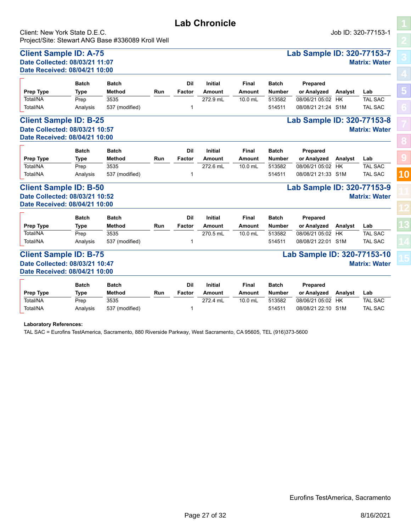# **Lab Chronicle** Client: New York State D.E.C. Job ID: 320-77153-1

Project/Site: Stewart ANG Base #336089 Kroll Well

### **Client Sample ID: A-75 Lab Sample ID: 320-77153-7 Date Collected: 08/03/21 11:07 Matrix: Water Date Received: 08/04/21 10:00**

|                  | <b>Batch</b> | <b>Batch</b>   |     | Dil    | <b>Initial</b> | Final     | <b>Batch</b> | Prepared           |         |                |
|------------------|--------------|----------------|-----|--------|----------------|-----------|--------------|--------------------|---------|----------------|
| <b>Prep Type</b> | Type         | Method         | Run | Factor | Amount         | Amount    | Number       | or Analyzed        | Analyst | Lab            |
| Total/NA         | Prep         | 3535           |     |        | 272.9 mL       | $10.0$ mL | 513582       | 08/06/21 05:02 HK  |         | <b>TAL SAC</b> |
| Total/NA         | Analysis     | 537 (modified) |     |        |                |           | 514511       | 08/08/21 21:24 S1M |         | <b>TAL SAC</b> |

### **Client Sample ID: B-25 Lab Sample ID: 320-77153-8 Date Collected: 08/03/21 10:57 Matrix: Water Date Received: 08/04/21 10:00**

| Prep Type | <b>Batch</b><br>Type | <b>Batch</b><br><b>Method</b> | Run | Dil<br>Factor | <b>Initial</b><br>Amount | Final<br>Amount | <b>Batch</b><br><b>Number</b> | <b>Prepared</b><br>or Analyzed | Analvst | Lab            |
|-----------|----------------------|-------------------------------|-----|---------------|--------------------------|-----------------|-------------------------------|--------------------------------|---------|----------------|
| Total/NA  | Prep                 | 3535                          |     |               | 272.6 mL                 | $10.0$ mL       | 513582                        | 08/06/21 05:02                 | HK      | <b>TAL SAC</b> |
| Total/NA  | Analvsis             | 537 (modified)                |     |               |                          |                 | 514511                        | 08/08/21 21:33 S1M             |         | <b>TAL SAC</b> |

### **Client Sample ID: B-50 Lab Sample ID: 320-77153-9 Date Collected: 08/03/21 10:52 Matrix: Water Date Received: 08/04/21 10:00**

| Prep Type | <b>Batch</b><br>Type | <b>Batch</b><br>Method | Run | Dil<br>Factor | <b>Initial</b><br>Amount | Final<br>Amount | <b>Batch</b><br><b>Number</b> | Prepared<br>or Analyzed | Analvst | ∟ab            |
|-----------|----------------------|------------------------|-----|---------------|--------------------------|-----------------|-------------------------------|-------------------------|---------|----------------|
| Total/NA  | Prep                 | 3535                   |     |               | 270.5 mL                 | $10.0$ mL       | 513582                        | 08/06/21 05:02          | HK      | <b>TAL SAC</b> |
| Total/NA  | Analysis             | 537 (modified)         |     |               |                          |                 | 514511                        | 08/08/21 22:01          | S1M     | <b>TAL SAC</b> |

### **Client Sample ID: B-75 Lab Sample ID: 320-77153-10 Date Collected: 08/03/21 10:47 Matrix: Water Date Received: 08/04/21 10:00**

|                  | <b>Batch</b> | <b>Batch</b>   |     | Dil    | <b>Initial</b> | Final   | <b>Batch</b> | <b>Prepared</b>    |         |                |
|------------------|--------------|----------------|-----|--------|----------------|---------|--------------|--------------------|---------|----------------|
| <b>Prep Type</b> | Type         | <b>Method</b>  | Run | Factor | Amount         | Amount  | Number       | or Analvzed        | Analyst | Lab            |
| Total/NA         | Prep         | 3535           |     |        | 272.4 mL       | 10.0 mL | 513582       | 08/06/21 05:02     | HK      | <b>TAL SAC</b> |
| Total/NA         | Analysis     | 537 (modified) |     |        |                |         | 514511       | 08/08/21 22:10 S1M |         | TAL SAC        |

**Laboratory References:**

TAL SAC = Eurofins TestAmerica, Sacramento, 880 Riverside Parkway, West Sacramento, CA 95605, TEL (916)373-5600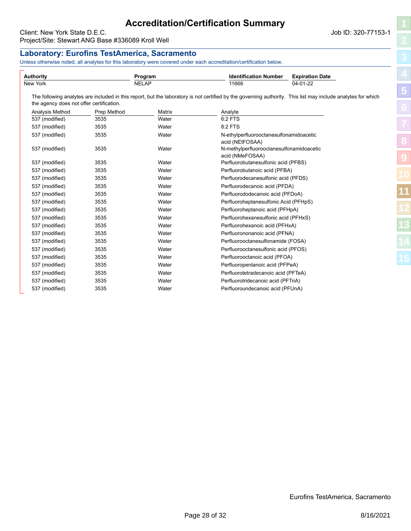# **Accreditation/Certification Summary**

<span id="page-27-0"></span>Client: New York State D.E.C. Job ID: 320-77153-1 Project/Site: Stewart ANG Base #336089 Kroll Well

### **Laboratory: Eurofins TestAmerica, Sacramento** Unless otherwise noted, all analytes for this laboratory were covered under each accreditation/certification below. **Authority Program Identification Number Expiration Date** New York NELAP 11666 04-01-22 The following analytes are included in this report, but the laboratory is not certified by the governing authority. This list may include analytes for which the agency does not offer certification. Analysis Method Prep Method Matrix Analyte 537 (modified) 3535 Water 6:2 FTS 537 (modified) 3535 Water 8:2 FTS 537 (modified) 3535 Water N-ethylperfluorooctanesulfonamidoacetic acid (NEtFOSAA) 537 (modified) 3535 Water N-methylperfluorooctanesulfonamidoacetic acid (NMeFOSAA) 537 (modified) 3535 Water Perfluorobutanesulfonic acid (PFBS) 537 (modified) 3535 Water Perfluorobutanoic acid (PFBA) 537 (modified) 3535 Water Perfluorodecanesulfonic acid (PFDS) 537 (modified) 3535 Water Perfluorodecanoic acid (PFDA) 537 (modified) 3535 Water Perfluorododecanoic acid (PFDoA) 537 (modified) 3535 Water Perfluoroheptanesulfonic Acid (PFHpS) 537 (modified) 3535 Water Perfluoroheptanoic acid (PFHpA) 537 (modified) 3535 Water Perfluorohexanesulfonic acid (PFHxS) 537 (modified) 3535 Water Perfluorohexanoic acid (PFHxA) 537 (modified) 3535 Water Perfluorononanoic acid (PFNA) 537 (modified) 3535 Water Perfluorooctanesulfonamide (FOSA) 537 (modified) 3535 Water Perfluorooctanesulfonic acid (PFOS) 537 (modified) 3535 Water Perfluorooctanoic acid (PFOA) 537 (modified) 3535 Water Perfluoropentanoic acid (PFPeA) 537 (modified) 3535 Water Perfluorotetradecanoic acid (PFTeA) 537 (modified) 3535 Water Perfluorotridecanoic acid (PFTriA) 537 (modified) 3535 Water Perfluoroundecanoic acid (PFUnA) **[5](#page-5-0) [8](#page-18-0) [9](#page-24-0) [11](#page-27-0)**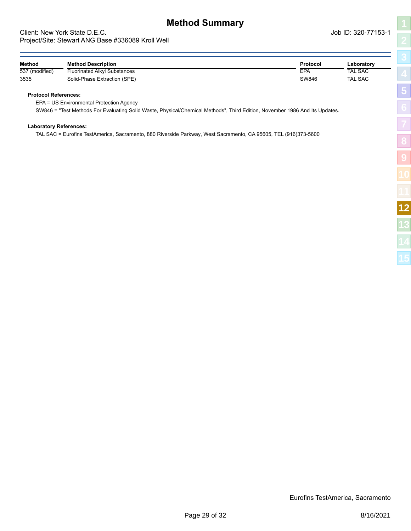# **Method Summary**

### <span id="page-28-0"></span>Client: New York State D.E.C. Job ID: 320-77153-1 Project/Site: Stewart ANG Base #336089 Kroll Well

| l                |  |
|------------------|--|
|                  |  |
|                  |  |
| $\overline{a}$   |  |
| ľ                |  |
|                  |  |
|                  |  |
| ļ<br>I<br>ו<br>ו |  |
| ֚֞<br>ŋ          |  |
| İ                |  |
|                  |  |
|                  |  |

| Method         | <b>Method Description</b>    | Protocol | ∟aboratorv     |
|----------------|------------------------------|----------|----------------|
| 537 (modified) | Fluorinated Alkyl Substances | EPA      | <b>TAL SAC</b> |
| 3535           | Solid-Phase Extraction (SPE) | SW846    | <b>TAL SAC</b> |

### **Protocol References:**

EPA = US Environmental Protection Agency

SW846 = "Test Methods For Evaluating Solid Waste, Physical/Chemical Methods", Third Edition, November 1986 And Its Updates.

### **Laboratory References:**

TAL SAC = Eurofins TestAmerica, Sacramento, 880 Riverside Parkway, West Sacramento, CA 95605, TEL (916)373-5600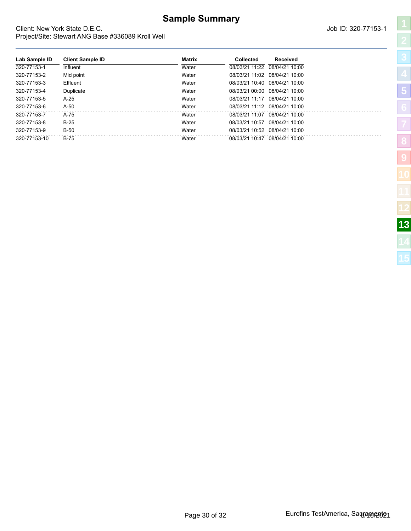# **Sample Summary**

**Lab Sample ID Client Sample ID Matrix Collected Received**  $\overline{320-77153-1}$  Influent Influent Mater 08/03/21 11:22 08/04/21 10:00 320-77153-2 Mid point Water 08/03/21 11:02 08/04/21 10:00 320-77153-3 Effluent Water 08/03/21 10:40 08/04/21 10:00 320-77153-4 Duplicate Water 08/03/21 00:00 08/04/21 10:00 320-77153-5 A-25 Water 08/03/21 11:17 08/04/21 10:00 320-77153-6 A-50 Water 08/03/21 11:12 08/04/21 10:00 320-77153-7 A-75 Water 08/03/21 11:07 08/04/21 10:00 320-77153-8 B-25 Water 08/03/21 10:57 08/04/21 10:00 320-77153-9 B-50 Water 08/03/21 10:52 08/04/21 10:00 320-77153-10 B-75 Water 08/03/21 10:47 08/04/21 10:00

### <span id="page-29-0"></span>Client: New York State D.E.C. Job ID: 320-77153-1 Project/Site: Stewart ANG Base #336089 Kroll Well

| ֘֒                                                    |
|-------------------------------------------------------|
| l                                                     |
| é                                                     |
| ֦֧ׅׅ֚֚֚֚֚֚֚֚֚֚֡֡֡֡֡֡֡֬֜֓֡֡֡֬֝֬֓֡֬֓֞֡֬֓֓֞֡֡֬֓֓֞֡֬<br>Ì |
| I                                                     |
| И                                                     |
|                                                       |
| l                                                     |
| I                                                     |
| Í                                                     |
|                                                       |

| Page 30 of 32 |  |  |
|---------------|--|--|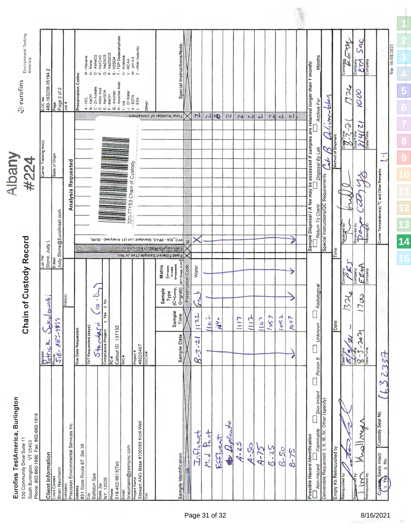| ă                                                      |        |
|--------------------------------------------------------|--------|
|                                                        |        |
| č<br>J                                                 |        |
|                                                        |        |
|                                                        |        |
|                                                        |        |
| ő                                                      |        |
|                                                        |        |
|                                                        |        |
|                                                        |        |
|                                                        |        |
| י המחוז                                                |        |
|                                                        | واثنته |
|                                                        |        |
| ֧֧֧֧֧֧֚֚֡֬֓֓֓֓֓֓֝֬֓֓֓֓֓֓֓֓֬֓֓֬֓֓֓֝֬֓֓֝֬֓֓֬֓֓֓֓֓֓֬<br>т |        |
|                                                        |        |
| Š                                                      |        |
|                                                        |        |
|                                                        |        |
| J.                                                     |        |
|                                                        |        |
| J                                                      | Š      |
|                                                        |        |
|                                                        |        |
| <b>Service Service</b>                                 | ្ច     |

Chain of Custody Record

**Noon**<br>Ausqly

<span id="page-30-0"></span> $\frac{1}{2}$  eurofins  $\left[\frac{1}{2} \arccos\frac{1}{2} \arccos\frac{1}{2} \arccos\frac{1}{2} \arccos\frac{1}{2} \arccos\frac{1}{2} \arccos\frac{1}{2} \arccos\frac{1}{2} \arccos\frac{1}{2} \arccos\frac{1}{2} \arccos\frac{1}{2} \arccos\frac{1}{2} \arccos\frac{1}{2} \arccos\frac{1}{2} \arccos\frac{1}{2} \arccos\frac{1}{2} \arccos\frac{1}{2} \arccos\frac{1}{2} \arccos\$ 

| South Burlington, VT 05403<br>Phone: 802-660-1990  Fax: 802-660-1919     |                                                                                            | Carrier Tracking No(s)<br>Md qe7                                                                                                                                                                             | COC No                                                                                                                                   |
|--------------------------------------------------------------------------|--------------------------------------------------------------------------------------------|--------------------------------------------------------------------------------------------------------------------------------------------------------------------------------------------------------------|------------------------------------------------------------------------------------------------------------------------------------------|
| <b>Client Information</b>                                                | Jakolowsk                                                                                  | Stone, Judy L                                                                                                                                                                                                | 480-163238-35194.2                                                                                                                       |
| <b>Brian Neumann</b><br><b>Client Contact</b>                            | Prince Sokol<br>Prince Sokol                                                               | State of Origin<br>Judy Stone@Eurofinset.com<br>E-Mail                                                                                                                                                       | Page 2 of 2<br>Page                                                                                                                      |
| Precision Environmental Services Inc.<br>Company:                        | <b>PWSID</b>                                                                               | <b>Analysis Requested</b>                                                                                                                                                                                    | a dcr                                                                                                                                    |
| Ste 38<br>831 State Route 67<br>Address:                                 | Due Date Requested:                                                                        |                                                                                                                                                                                                              | Preservation Codes                                                                                                                       |
| Ballston Spa<br>Ğ                                                        | ¥<br><b>TAT Requested (days</b>                                                            |                                                                                                                                                                                                              | M - Hexane<br>N - None<br>A - HCL<br>B - MaOH<br>C - Zn Acelate<br>C - Miric Add<br>E - MeOH<br>F - McOhor<br>G - Amchlor<br>C - Amchlor |
| State, Zip:<br>NY <sub>,</sub> 12020                                     | $\mathcal{L}$<br>A No<br>$\tilde{\mathbf{c}}$<br>A Yes<br>τ<br>$5 + 4 + 6 + 6$             |                                                                                                                                                                                                              | O - AsNaO2<br>P - Na2O4S<br>Q - Na2SO3                                                                                                   |
| 518-402-9813(Tel)<br>Phone:                                              | Callout ID: 137132<br>$\frac{1}{2}$                                                        |                                                                                                                                                                                                              | R - Na2S2O3<br>S - H2SO4<br>T - TSP Dodecahydrate                                                                                        |
| bneumann@pesnyinc.com<br>Email:                                          | WO #                                                                                       | 320-77153 Chain of Custody                                                                                                                                                                                   | U - Acetone<br>V - MCAA<br>$1 - \log$<br>$J - DI Water$<br>$K - EDTA$<br>$L + EDA$                                                       |
| Stewart ANG Base #336089 Kroll Well<br>Project Name                      | Project #<br>48020467                                                                      |                                                                                                                                                                                                              | $Z$ - other (specify)<br>$W$ - pH 4-5                                                                                                    |
| Site                                                                     | <b>BROOM</b>                                                                               |                                                                                                                                                                                                              | Other:                                                                                                                                   |
| Sample Identification                                                    | $(C=_{\text{Comp}},$<br>$G=grab$<br><b>Sample</b><br>Type<br>Sample<br>Time<br>Sample Date | PFC_IDA - PFAS, Standard List (21 Analytes) - BURL<br>(GM TO BEA) GRINICAL CHONG<br>Field Filtered Sample (Yes or No)<br><b>BT=Tissue</b> , A=AIr<br>(Virwater,<br>S=solid,<br>O=wastedell,<br><b>Matrix</b> | Special Instructions/Note:<br>Total Number of containers                                                                                 |
|                                                                          |                                                                                            | z<br>Preservation Code:                                                                                                                                                                                      |                                                                                                                                          |
| Influent                                                                 | $\mathcal{L}$<br>$\zeta_n^d$<br>22<br>$8 - 3 - 21$                                         | Water                                                                                                                                                                                                        | $\mathbf{z}$                                                                                                                             |
| $A_{\text{out}}$<br>M, d                                                 | م<br>م<br>$\blacksquare$                                                                   |                                                                                                                                                                                                              | r                                                                                                                                        |
| EATIVENT                                                                 | $\mathcal{U}^{\nu}$                                                                        |                                                                                                                                                                                                              | $\boldsymbol{\varphi}$                                                                                                                   |
| to Walkaste                                                              |                                                                                            |                                                                                                                                                                                                              | Z                                                                                                                                        |
| $A - 25$                                                                 | D                                                                                          |                                                                                                                                                                                                              | $\mathsf{M}$                                                                                                                             |
| $4 - 50$                                                                 | $\vec{b}$                                                                                  |                                                                                                                                                                                                              | $\overline{c}$                                                                                                                           |
| $A - 75$                                                                 | $\delta$<br>Ξ                                                                              |                                                                                                                                                                                                              | N                                                                                                                                        |
| $5 - 25$                                                                 | 57<br>∼                                                                                    |                                                                                                                                                                                                              | $\overline{2}$                                                                                                                           |
| $6 - 50$                                                                 | 55<br>≛                                                                                    |                                                                                                                                                                                                              | $\mathcal{L}$                                                                                                                            |
| $8 - 75$                                                                 | 1047<br>D                                                                                  |                                                                                                                                                                                                              | N                                                                                                                                        |
| Possible Hazard Identification                                           |                                                                                            | Sample Disposal (A fee may be assessed if samples are retained longer than 1 month)                                                                                                                          |                                                                                                                                          |
| Skin Initant<br>Flammable<br>Non-Hazard                                  | Radiological<br><b>Unknown</b><br>Poison B                                                 | Disposal By Lab<br>Return To Client                                                                                                                                                                          | <b>Months</b><br>Archive For                                                                                                             |
| Deliverable Requested: I, II, III, IV, Other (specify)                   |                                                                                            | $\tau_{\rm c}$<br>Special Instructions/QC Requirements:                                                                                                                                                      | , verrbler<br>$\overline{\mathcal{L}}$<br>$\mathscr{S}$                                                                                  |
| Empty Kit Relinquished by:                                               | Date                                                                                       | Method of Shipment<br>Time                                                                                                                                                                                   |                                                                                                                                          |
| Relinquished by                                                          | d<br>52<br>,<br>Ñ<br>Date/Time                                                             | Received by<br>Company                                                                                                                                                                                       | $\mathcal{A}$<br>Company<br>324<br>$ \mathcal{E}\mathcal{Z}^{\mathcal{Z}}\mathcal{Z}$                                                    |
| WAY<br>$\bar{3}$<br>Relinquished by<br>$\frac{1}{\text{Reliquisted by}}$ | 700<br>$\vec{r}$<br>Elaine                                                                 | Received by<br>Received by<br>Da<br>$E$ E+A<br>Company<br>Company                                                                                                                                            | Sac<br>Company<br>EM<br>Company<br>1000<br>$\mathbf{v}$<br>Date/Time<br>$\frac{1}{2}$<br>Date/Tim                                        |
| Custody Seal No.<br>Custody Seals Intact:                                | 2337                                                                                       | Τ<br>Cooler Temperature(s) °C and Other Remarks:                                                                                                                                                             |                                                                                                                                          |
|                                                                          |                                                                                            |                                                                                                                                                                                                              | Ver: 06/08/207                                                                                                                           |

**[1](#page-0-0)**

î.

**[2](#page-2-0)**

**[3](#page-3-0)**

**[4](#page-4-0)**

**[5](#page-5-0)**

**[9](#page-24-0)**